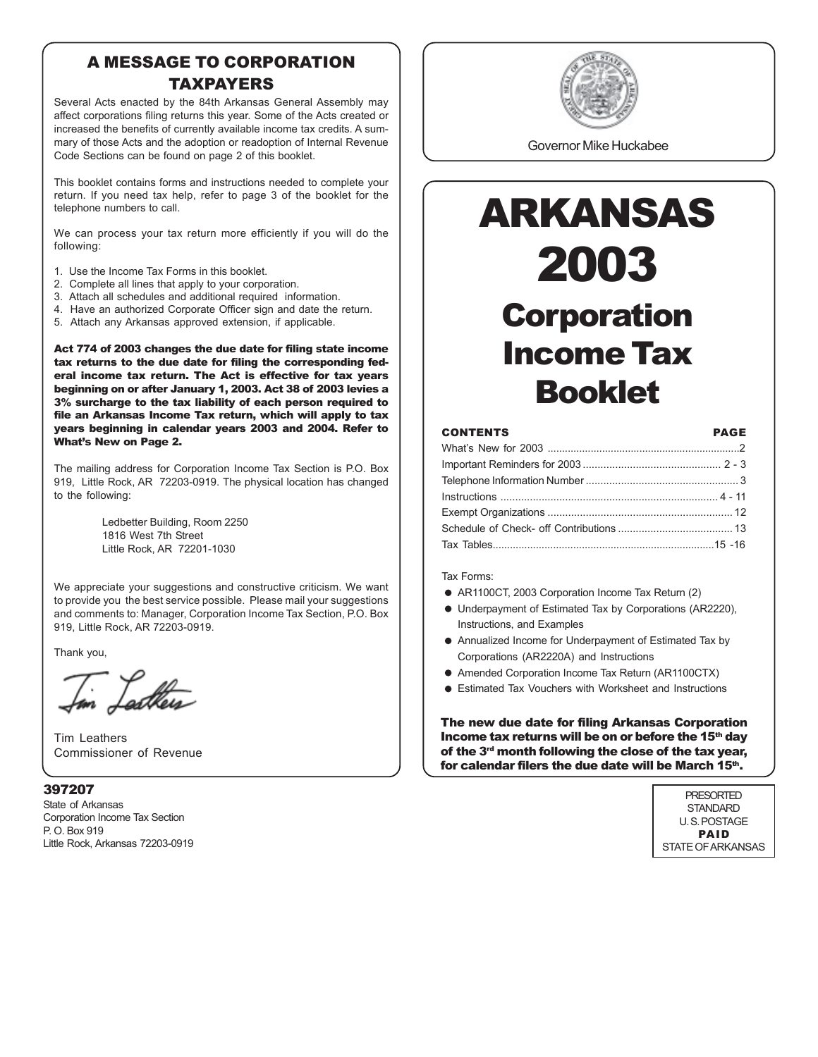### A MESSAGE TO CORPORATION **TAXPAYERS**

Several Acts enacted by the 84th Arkansas General Assembly may affect corporations filing returns this year. Some of the Acts created or increased the benefits of currently available income tax credits. A summary of those Acts and the adoption or readoption of Internal Revenue Code Sections can be found on page 2 of this booklet.

This booklet contains forms and instructions needed to complete your return. If you need tax help, refer to page 3 of the booklet for the telephone numbers to call.

We can process your tax return more efficiently if you will do the following:

- 1. Use the Income Tax Forms in this booklet.
- 2. Complete all lines that apply to your corporation.
- 3. Attach all schedules and additional required information.
- 4. Have an authorized Corporate Officer sign and date the return.
- 5. Attach any Arkansas approved extension, if applicable.

Act 774 of 2003 changes the due date for filing state income tax returns to the due date for filing the corresponding federal income tax return. The Act is effective for tax years beginning on or after January 1, 2003. Act 38 of 2003 levies a 3% surcharge to the tax liability of each person required to file an Arkansas Income Tax return, which will apply to tax years beginning in calendar years 2003 and 2004. Refer to What's New on Page 2.

The mailing address for Corporation Income Tax Section is P.O. Box 919, Little Rock, AR 72203-0919. The physical location has changed to the following:

> Ledbetter Building, Room 2250 1816 West 7th Street Little Rock, AR 72201-1030

We appreciate your suggestions and constructive criticism. We want to provide you the best service possible. Please mail your suggestions and comments to: Manager, Corporation Income Tax Section, P.O. Box 919, Little Rock, AR 72203-0919.

Thank you,

[adheer

Tim Leathers Commissioner of Revenue

397207

State of Arkansas Corporation Income Tax Section P. O. Box 919 Little Rock, Arkansas 72203-0919



Governor Mike Huckabee

## ARKANSAS 2003 **Corporation** Income Tax Booklet

| <b>CONTENTS</b> | <b>PAGE</b> |
|-----------------|-------------|
|                 |             |
|                 |             |
|                 |             |
|                 |             |
|                 |             |
|                 |             |
|                 |             |

Tax Forms:

- AR1100CT, 2003 Corporation Income Tax Return (2)
- Underpayment of Estimated Tax by Corporations (AR2220), Instructions, and Examples
- Annualized Income for Underpayment of Estimated Tax by Corporations (AR2220A) and Instructions
- Amended Corporation Income Tax Return (AR1100CTX)
- Estimated Tax Vouchers with Worksheet and Instructions

The new due date for filing Arkansas Corporation Income tax returns will be on or before the  $15<sup>th</sup>$  day of the 3<sup>rd</sup> month following the close of the tax year, for calendar filers the due date will be March 15th.

> PRESORTED **STANDARD** U. S. POSTAGE PAID STATE OF ARKANSAS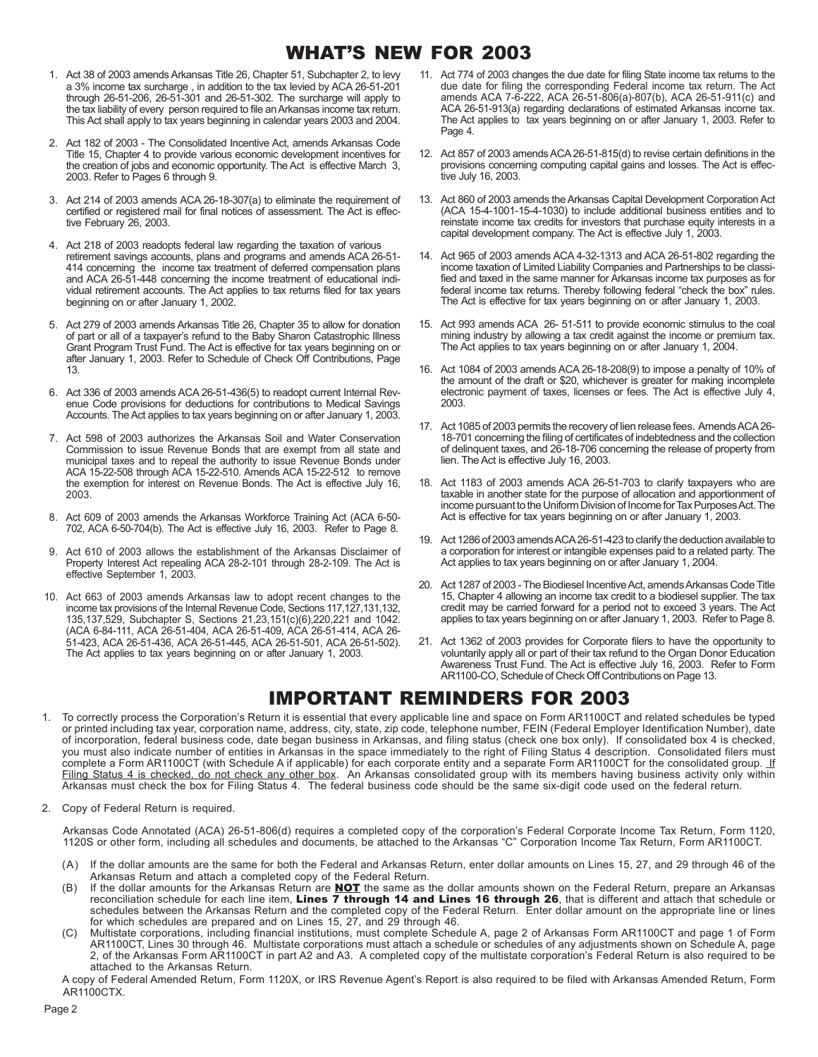## WHAT'S NEW FOR 2003

- 1. Act 38 of 2003 amends Arkansas Title 26, Chapter 51, Subchapter 2, to levy a 3% income tax surcharge , in addition to the tax levied by ACA 26-51-201 through 26-51-206, 26-51-301 and 26-51-302. The surcharge will apply to the tax liability of every person required to file an Arkansas income tax return. This Act shall apply to tax years beginning in calendar years 2003 and 2004.
- 2. Act 182 of 2003 The Consolidated Incentive Act, amends Arkansas Code Title 15, Chapter 4 to provide various economic development incentives for the creation of jobs and economic opportunity. The Act is effective March 3, 2003. Refer to Pages 6 through 9.
- 3. Act 214 of 2003 amends ACA 26-18-307(a) to eliminate the requirement of certified or registered mail for final notices of assessment. The Act is effective February 26, 2003.
- 4. Act 218 of 2003 readopts federal law regarding the taxation of various retirement savings accounts, plans and programs and amends ACA 26-51- 414 concerning the income tax treatment of deferred compensation plans and ACA 26-51-448 concerning the income treatment of educational individual retirement accounts. The Act applies to tax returns filed for tax years beginning on or after January 1, 2002.
- 5. Act 279 of 2003 amends Arkansas Title 26, Chapter 35 to allow for donation of part or all of a taxpayer's refund to the Baby Sharon Catastrophic Illness Grant Program Trust Fund. The Act is effective for tax years beginning on or after January 1, 2003. Refer to Schedule of Check Off Contributions, Page 13.
- 6. Act 336 of 2003 amends ACA 26-51-436(5) to readopt current Internal Revenue Code provisions for deductions for contributions to Medical Savings Accounts. The Act applies to tax years beginning on or after January 1, 2003.
- 7. Act 598 of 2003 authorizes the Arkansas Soil and Water Conservation Commission to issue Revenue Bonds that are exempt from all state and municipal taxes and to repeal the authority to issue Revenue Bonds under ACA 15-22-508 through ACA 15-22-510. Amends ACA 15-22-512 to remove the exemption for interest on Revenue Bonds. The Act is effective July 16, 2003.
- 8. Act 609 of 2003 amends the Arkansas Workforce Training Act (ACA 6-50- 702, ACA 6-50-704(b). The Act is effective July 16, 2003. Refer to Page 8.
- 9. Act 610 of 2003 allows the establishment of the Arkansas Disclaimer of Property Interest Act repealing ACA 28-2-101 through 28-2-109. The Act is effective September 1, 2003.
- 10. Act 663 of 2003 amends Arkansas law to adopt recent changes to the income tax provisions of the Internal Revenue Code, Sections 117,127,131,132, 135,137,529, Subchapter S, Sections 21,23,151(c)(6),220,221 and 1042. (ACA 6-84-111, ACA 26-51-404, ACA 26-51-409, ACA 26-51-414, ACA 26- 51-423, ACA 26-51-436, ACA 26-51-445, ACA 26-51-501, ACA 26-51-502). The Act applies to tax years beginning on or after January 1, 2003.
- 11. Act 774 of 2003 changes the due date for filing State income tax returns to the due date for filing the corresponding Federal income tax return. The Act amends ACA 7-6-222, ACA 26-51-806(a)-807(b), ACA 26-51-911(c) and ACA 26-51-913(a) regarding declarations of estimated Arkansas income tax. The Act applies to tax years beginning on or after January 1, 2003. Refer to Page 4.
- 12. Act 857 of 2003 amends ACA 26-51-815(d) to revise certain definitions in the provisions concerning computing capital gains and losses. The Act is effective July 16, 2003.
- 13. Act 860 of 2003 amends the Arkansas Capital Development Corporation Act (ACA 15-4-1001-15-4-1030) to include additional business entities and to reinstate income tax credits for investors that purchase equity interests in a capital development company. The Act is effective July 1, 2003.
- 14. Act 965 of 2003 amends ACA 4-32-1313 and ACA 26-51-802 regarding the income taxation of Limited Liability Companies and Partnerships to be classified and taxed in the same manner for Arkansas income tax purposes as for federal income tax returns. Thereby following federal "check the box" rules. The Act is effective for tax years beginning on or after January 1, 2003.
- 15. Act 993 amends ACA 26- 51-511 to provide economic stimulus to the coal mining industry by allowing a tax credit against the income or premium tax. The Act applies to tax years beginning on or after January 1, 2004.
- 16. Act 1084 of 2003 amends ACA 26-18-208(9) to impose a penalty of 10% of the amount of the draft or \$20, whichever is greater for making incomplete electronic payment of taxes, licenses or fees. The Act is effective July 4, 2003.
- 17. Act 1085 of 2003 permits the recovery of lien release fees. Amends ACA 26- 18-701 concerning the filing of certificates of indebtedness and the collection of delinquent taxes, and 26-18-706 concerning the release of property from lien. The Act is effective July 16, 2003.
- 18. Act 1183 of 2003 amends ACA 26-51-703 to clarify taxpayers who are taxable in another state for the purpose of allocation and apportionment of income pursuant to the Uniform Division of Income for Tax Purposes Act. The Act is effective for tax years beginning on or after January 1, 2003.
- 19. Act 1286 of 2003 amends ACA 26-51-423 to clarify the deduction available to a corporation for interest or intangible expenses paid to a related party. The Act applies to tax years beginning on or after January 1, 2004.
- 20. Act 1287 of 2003 The Biodiesel Incentive Act, amends Arkansas Code Title 15, Chapter 4 allowing an income tax credit to a biodiesel supplier. The tax credit may be carried forward for a period not to exceed 3 years. The Act applies to tax years beginning on or after January 1, 2003. Refer to Page 8.
- 21. Act 1362 of 2003 provides for Corporate filers to have the opportunity to voluntarily apply all or part of their tax refund to the Organ Donor Education Awareness Trust Fund. The Act is effective July 16, 2003. Refer to Form AR1100-CO, Schedule of Check Off Contributions on Page 13.

## IMPORTANT REMINDERS FOR 2003

- 1. To correctly process the Corporation's Return it is essential that every applicable line and space on Form AR1100CT and related schedules be typed or printed including tax year, corporation name, address, city, state, zip code, telephone number, FEIN (Federal Employer Identification Number), date of incorporation, federal business code, date began business in Arkansas, and filing status (check one box only). If consolidated box 4 is checked, you must also indicate number of entities in Arkansas in the space immediately to the right of Filing Status 4 description. Consolidated filers must complete a Form AR1100CT (with Schedule A if applicable) for each corporate entity and a separate Form AR1100CT for the consolidated group. If Filing Status 4 is checked, do not check any other box. An Arkansas consolidated group with its members having business activity only within Arkansas must check the box for Filing Status 4. The federal business code should be the same six-digit code used on the federal return.
- 2. Copy of Federal Return is required.

Arkansas Code Annotated (ACA) 26-51-806(d) requires a completed copy of the corporation's Federal Corporate Income Tax Return, Form 1120, 1120S or other form, including all schedules and documents, be attached to the Arkansas "C" Corporation Income Tax Return, Form AR1100CT.

- (A) If the dollar amounts are the same for both the Federal and Arkansas Return, enter dollar amounts on Lines 15, 27, and 29 through 46 of the Arkansas Return and attach a completed copy of the Federal Return.
- (B) If the dollar amounts for the Arkansas Return are **NOT** the same as the dollar amounts shown on the Federal Return, prepare an Arkansas reconciliation schedule for each line item, Lines 7 through 14 and Lines 16 through 26, that is different and attach that schedule or schedules between the Arkansas Return and the completed copy of the Federal Return. Enter dollar amount on the appropriate line or lines for which schedules are prepared and on Lines 15, 27, and 29 through 46.
- (C) Multistate corporations, including financial institutions, must complete Schedule A, page 2 of Arkansas Form AR1100CT and page 1 of Form AR1100CT, Lines 30 through 46. Multistate corporations must attach a schedule or schedules of any adjustments shown on Schedule A, page 2, of the Arkansas Form AR1100CT in part A2 and A3. A completed copy of the multistate corporation's Federal Return is also required to be attached to the Arkansas Return.

A copy of Federal Amended Return, Form 1120X, or IRS Revenue Agent's Report is also required to be filed with Arkansas Amended Return, Form AR1100CTX.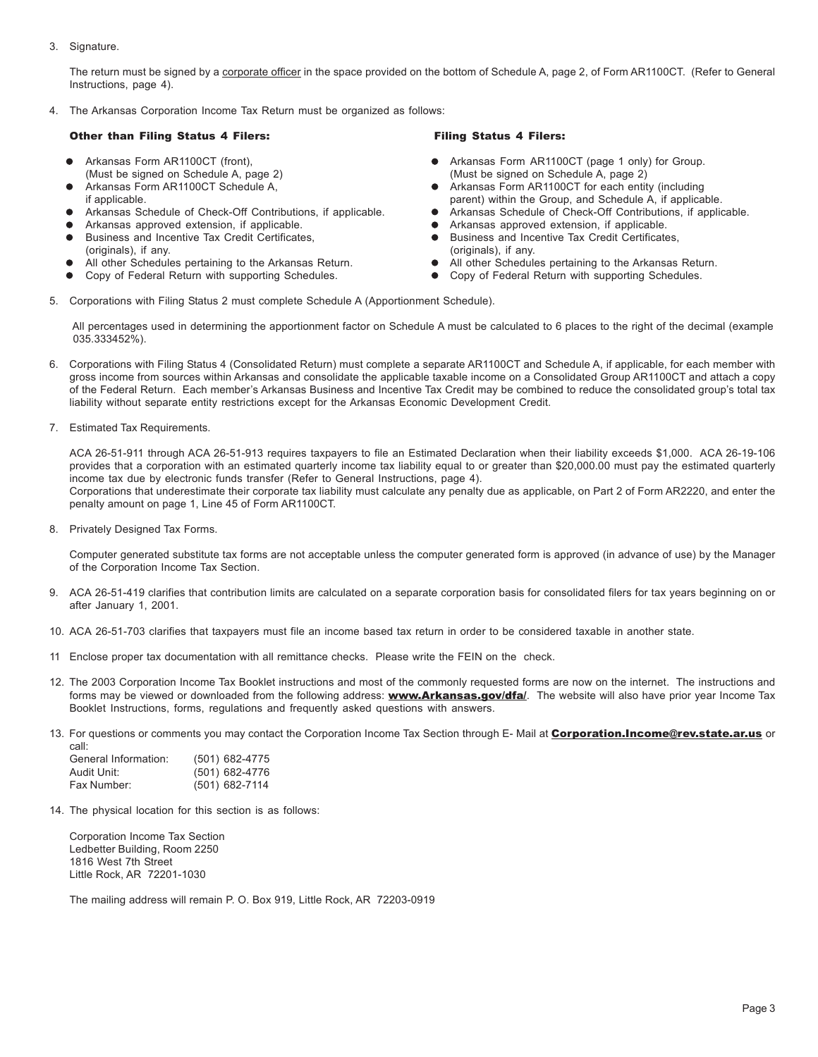3. Signature.

The return must be signed by a corporate officer in the space provided on the bottom of Schedule A, page 2, of Form AR1100CT. (Refer to General Instructions, page 4).

4. The Arkansas Corporation Income Tax Return must be organized as follows:

#### Other than Filing Status 4 Filers: The Status 4 Filers: Filing Status 4 Filers:

- 
- 
- 
- if applicable. parent) within the Group, and Schedule A, if applicable.
- 
- Business and Incentive Tax Credit Certificates, **Business and Incentive Tax Credit Certificates**, (originals), if any. (originals), if any.
- 
- 

- Arkansas Form AR1100CT (front), Arkansas Form AR1100CT (page 1 only) for Group. (Must be signed on Schedule A, page 2) (Must be signed on Schedule A, page 2)
- Arkansas Form AR1100CT Schedule A, Arkansas Form AR1100CT for each entity (including
	- Arkansas Schedule of Check-Off Contributions, if applicable.
- Arkansas approved extension, if applicable. Arkansas approved extension, if applicable.
	-
- All other Schedules pertaining to the Arkansas Return. All other Schedules pertaining to the Arkansas Return.
- Copy of Federal Return with supporting Schedules. **Copy of Federal Return with supporting Schedules.**
- 5. Corporations with Filing Status 2 must complete Schedule A (Apportionment Schedule).

 All percentages used in determining the apportionment factor on Schedule A must be calculated to 6 places to the right of the decimal (example 035.333452%).

- 6. Corporations with Filing Status 4 (Consolidated Return) must complete a separate AR1100CT and Schedule A, if applicable, for each member with gross income from sources within Arkansas and consolidate the applicable taxable income on a Consolidated Group AR1100CT and attach a copy of the Federal Return. Each member's Arkansas Business and Incentive Tax Credit may be combined to reduce the consolidated group's total tax liability without separate entity restrictions except for the Arkansas Economic Development Credit.
- 7. Estimated Tax Requirements.

ACA 26-51-911 through ACA 26-51-913 requires taxpayers to file an Estimated Declaration when their liability exceeds \$1,000. ACA 26-19-106 provides that a corporation with an estimated quarterly income tax liability equal to or greater than \$20,000.00 must pay the estimated quarterly income tax due by electronic funds transfer (Refer to General Instructions, page 4).

Corporations that underestimate their corporate tax liability must calculate any penalty due as applicable, on Part 2 of Form AR2220, and enter the penalty amount on page 1, Line 45 of Form AR1100CT.

8. Privately Designed Tax Forms.

Computer generated substitute tax forms are not acceptable unless the computer generated form is approved (in advance of use) by the Manager of the Corporation Income Tax Section.

- 9. ACA 26-51-419 clarifies that contribution limits are calculated on a separate corporation basis for consolidated filers for tax years beginning on or after January 1, 2001.
- 10. ACA 26-51-703 clarifies that taxpayers must file an income based tax return in order to be considered taxable in another state.
- 11 Enclose proper tax documentation with all remittance checks. Please write the FEIN on the check.
- 12. The 2003 Corporation Income Tax Booklet instructions and most of the commonly requested forms are now on the internet. The instructions and forms may be viewed or downloaded from the following address: **www.Arkansas.gov/dfa/**. The website will also have prior year Income Tax Booklet Instructions, forms, regulations and frequently asked questions with answers.
- 13. For questions or comments you may contact the Corporation Income Tax Section through E- Mail at **Corporation.Income@rev.state.ar.us** or call:

| -------              |                  |
|----------------------|------------------|
| General Information: | (501) 682-4775   |
| Audit Unit:          | (501) 682-4776   |
| Fax Number:          | $(501)$ 682-7114 |

14. The physical location for this section is as follows:

Corporation Income Tax Section Ledbetter Building, Room 2250 1816 West 7th Street Little Rock, AR 72201-1030

The mailing address will remain P. O. Box 919, Little Rock, AR 72203-0919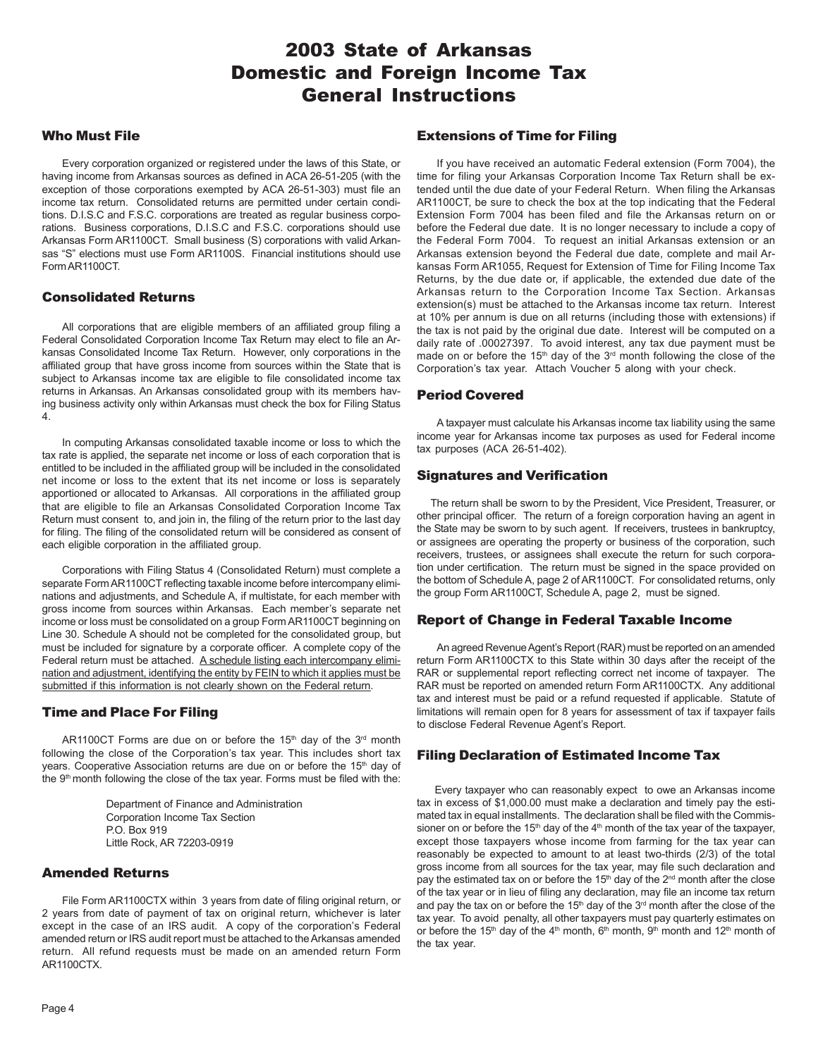## 2003 State of Arkansas Domestic and Foreign Income Tax General Instructions

#### Who Must File

Every corporation organized or registered under the laws of this State, or having income from Arkansas sources as defined in ACA 26-51-205 (with the exception of those corporations exempted by ACA 26-51-303) must file an income tax return. Consolidated returns are permitted under certain conditions. D.I.S.C and F.S.C. corporations are treated as regular business corporations. Business corporations, D.I.S.C and F.S.C. corporations should use Arkansas Form AR1100CT. Small business (S) corporations with valid Arkansas "S" elections must use Form AR1100S. Financial institutions should use Form AR1100CT.

#### Consolidated Returns

All corporations that are eligible members of an affiliated group filing a Federal Consolidated Corporation Income Tax Return may elect to file an Arkansas Consolidated Income Tax Return. However, only corporations in the affiliated group that have gross income from sources within the State that is subject to Arkansas income tax are eligible to file consolidated income tax returns in Arkansas. An Arkansas consolidated group with its members having business activity only within Arkansas must check the box for Filing Status 4.

In computing Arkansas consolidated taxable income or loss to which the tax rate is applied, the separate net income or loss of each corporation that is entitled to be included in the affiliated group will be included in the consolidated net income or loss to the extent that its net income or loss is separately apportioned or allocated to Arkansas. All corporations in the affiliated group that are eligible to file an Arkansas Consolidated Corporation Income Tax Return must consent to, and join in, the filing of the return prior to the last day for filing. The filing of the consolidated return will be considered as consent of each eligible corporation in the affiliated group.

Corporations with Filing Status 4 (Consolidated Return) must complete a separate Form AR1100CT reflecting taxable income before intercompany eliminations and adjustments, and Schedule A, if multistate, for each member with gross income from sources within Arkansas. Each member's separate net income or loss must be consolidated on a group Form AR1100CT beginning on Line 30. Schedule A should not be completed for the consolidated group, but must be included for signature by a corporate officer. A complete copy of the Federal return must be attached. A schedule listing each intercompany elimination and adjustment, identifying the entity by FEIN to which it applies must be submitted if this information is not clearly shown on the Federal return.

#### Time and Place For Filing

AR1100CT Forms are due on or before the 15<sup>th</sup> day of the  $3<sup>rd</sup>$  month following the close of the Corporation's tax year. This includes short tax years. Cooperative Association returns are due on or before the 15<sup>th</sup> day of the 9<sup>th</sup> month following the close of the tax year. Forms must be filed with the:

> Department of Finance and Administration Corporation Income Tax Section P.O. Box 919 Little Rock, AR 72203-0919

#### Amended Returns

File Form AR1100CTX within 3 years from date of filing original return, or 2 years from date of payment of tax on original return, whichever is later except in the case of an IRS audit. A copy of the corporation's Federal amended return or IRS audit report must be attached to the Arkansas amended return. All refund requests must be made on an amended return Form AR1100CTX.

#### Extensions of Time for Filing

If you have received an automatic Federal extension (Form 7004), the time for filing your Arkansas Corporation Income Tax Return shall be extended until the due date of your Federal Return. When filing the Arkansas AR1100CT, be sure to check the box at the top indicating that the Federal Extension Form 7004 has been filed and file the Arkansas return on or before the Federal due date. It is no longer necessary to include a copy of the Federal Form 7004. To request an initial Arkansas extension or an Arkansas extension beyond the Federal due date, complete and mail Arkansas Form AR1055, Request for Extension of Time for Filing Income Tax Returns, by the due date or, if applicable, the extended due date of the Arkansas return to the Corporation Income Tax Section. Arkansas extension(s) must be attached to the Arkansas income tax return. Interest at 10% per annum is due on all returns (including those with extensions) if the tax is not paid by the original due date. Interest will be computed on a daily rate of .00027397. To avoid interest, any tax due payment must be made on or before the 15<sup>th</sup> day of the  $3<sup>rd</sup>$  month following the close of the Corporation's tax year. Attach Voucher 5 along with your check.

#### Period Covered

A taxpayer must calculate his Arkansas income tax liability using the same income year for Arkansas income tax purposes as used for Federal income tax purposes (ACA 26-51-402).

#### Signatures and Verification

 The return shall be sworn to by the President, Vice President, Treasurer, or other principal officer. The return of a foreign corporation having an agent in the State may be sworn to by such agent. If receivers, trustees in bankruptcy, or assignees are operating the property or business of the corporation, such receivers, trustees, or assignees shall execute the return for such corporation under certification. The return must be signed in the space provided on the bottom of Schedule A, page 2 of AR1100CT. For consolidated returns, only the group Form AR1100CT, Schedule A, page 2, must be signed.

#### Report of Change in Federal Taxable Income

An agreed Revenue Agent's Report (RAR) must be reported on an amended return Form AR1100CTX to this State within 30 days after the receipt of the RAR or supplemental report reflecting correct net income of taxpayer. The RAR must be reported on amended return Form AR1100CTX. Any additional tax and interest must be paid or a refund requested if applicable. Statute of limitations will remain open for 8 years for assessment of tax if taxpayer fails to disclose Federal Revenue Agent's Report.

#### Filing Declaration of Estimated Income Tax

 Every taxpayer who can reasonably expect to owe an Arkansas income tax in excess of \$1,000.00 must make a declaration and timely pay the estimated tax in equal installments. The declaration shall be filed with the Commissioner on or before the 15<sup>th</sup> day of the  $4<sup>th</sup>$  month of the tax year of the taxpayer, except those taxpayers whose income from farming for the tax year can reasonably be expected to amount to at least two-thirds (2/3) of the total gross income from all sources for the tax year, may file such declaration and pay the estimated tax on or before the 15<sup>th</sup> day of the 2<sup>nd</sup> month after the close of the tax year or in lieu of filing any declaration, may file an income tax return and pay the tax on or before the  $15<sup>th</sup>$  day of the  $3<sup>rd</sup>$  month after the close of the tax year. To avoid penalty, all other taxpayers must pay quarterly estimates on or before the 15<sup>th</sup> day of the 4<sup>th</sup> month, 6<sup>th</sup> month, 9<sup>th</sup> month and 12<sup>th</sup> month of the tax year.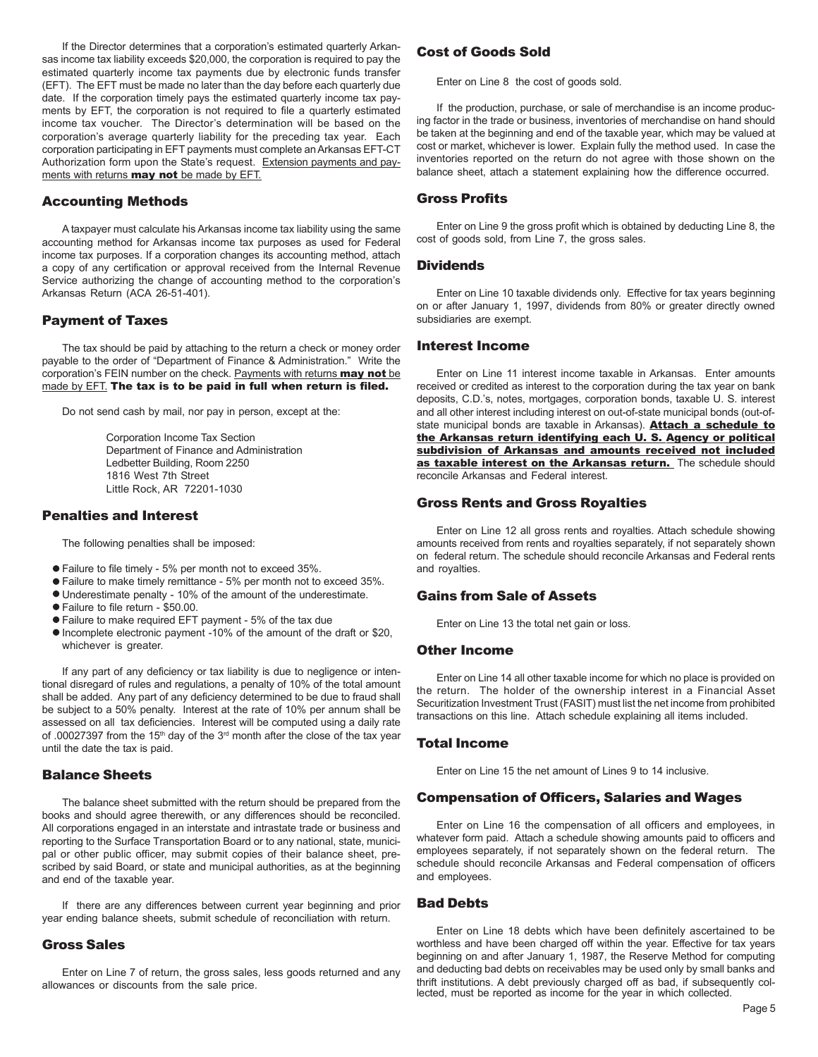If the Director determines that a corporation's estimated quarterly Arkansas income tax liability exceeds \$20,000, the corporation is required to pay the estimated quarterly income tax payments due by electronic funds transfer (EFT). The EFT must be made no later than the day before each quarterly due date. If the corporation timely pays the estimated quarterly income tax payments by EFT, the corporation is not required to file a quarterly estimated income tax voucher. The Director's determination will be based on the corporation's average quarterly liability for the preceding tax year. Each corporation participating in EFT payments must complete an Arkansas EFT-CT Authorization form upon the State's request. Extension payments and payments with returns **may not** be made by EFT.

#### Accounting Methods

A taxpayer must calculate his Arkansas income tax liability using the same accounting method for Arkansas income tax purposes as used for Federal income tax purposes. If a corporation changes its accounting method, attach a copy of any certification or approval received from the Internal Revenue Service authorizing the change of accounting method to the corporation's Arkansas Return (ACA 26-51-401).

#### Payment of Taxes

The tax should be paid by attaching to the return a check or money order payable to the order of "Department of Finance & Administration." Write the corporation's FEIN number on the check. Payments with returns **may not** be made by EFT. The tax is to be paid in full when return is filed.

Do not send cash by mail, nor pay in person, except at the:

Corporation Income Tax Section Department of Finance and Administration Ledbetter Building, Room 2250 1816 West 7th Street Little Rock, AR 72201-1030

#### Penalties and Interest

The following penalties shall be imposed:

- Failure to file timely 5% per month not to exceed 35%.
- Failure to make timely remittance 5% per month not to exceed 35%.
- Underestimate penalty 10% of the amount of the underestimate.
- Failure to file return \$50.00.
- Failure to make required EFT payment 5% of the tax due
- Incomplete electronic payment -10% of the amount of the draft or \$20, whichever is greater.

If any part of any deficiency or tax liability is due to negligence or intentional disregard of rules and regulations, a penalty of 10% of the total amount shall be added. Any part of any deficiency determined to be due to fraud shall be subject to a 50% penalty. Interest at the rate of 10% per annum shall be assessed on all tax deficiencies. Interest will be computed using a daily rate of .00027397 from the 15<sup>th</sup> day of the 3<sup>rd</sup> month after the close of the tax year until the date the tax is paid.

#### Balance Sheets

The balance sheet submitted with the return should be prepared from the books and should agree therewith, or any differences should be reconciled. All corporations engaged in an interstate and intrastate trade or business and reporting to the Surface Transportation Board or to any national, state, municipal or other public officer, may submit copies of their balance sheet, prescribed by said Board, or state and municipal authorities, as at the beginning and end of the taxable year.

If there are any differences between current year beginning and prior year ending balance sheets, submit schedule of reconciliation with return.

#### Gross Sales

Enter on Line 7 of return, the gross sales, less goods returned and any allowances or discounts from the sale price.

#### Cost of Goods Sold

Enter on Line 8 the cost of goods sold.

If the production, purchase, or sale of merchandise is an income producing factor in the trade or business, inventories of merchandise on hand should be taken at the beginning and end of the taxable year, which may be valued at cost or market, whichever is lower. Explain fully the method used. In case the inventories reported on the return do not agree with those shown on the balance sheet, attach a statement explaining how the difference occurred.

#### Gross Profits

Enter on Line 9 the gross profit which is obtained by deducting Line 8, the cost of goods sold, from Line 7, the gross sales.

#### **Dividends**

Enter on Line 10 taxable dividends only. Effective for tax years beginning on or after January 1, 1997, dividends from 80% or greater directly owned subsidiaries are exempt.

#### Interest Income

Enter on Line 11 interest income taxable in Arkansas. Enter amounts received or credited as interest to the corporation during the tax year on bank deposits, C.D.'s, notes, mortgages, corporation bonds, taxable U. S. interest and all other interest including interest on out-of-state municipal bonds (out-ofstate municipal bonds are taxable in Arkansas). **Attach a schedule to** the Arkansas return identifying each U. S. Agency or political subdivision of Arkansas and amounts received not included as taxable interest on the Arkansas return. The schedule should reconcile Arkansas and Federal interest.

#### Gross Rents and Gross Royalties

Enter on Line 12 all gross rents and royalties. Attach schedule showing amounts received from rents and royalties separately, if not separately shown on federal return. The schedule should reconcile Arkansas and Federal rents and royalties.

#### Gains from Sale of Assets

Enter on Line 13 the total net gain or loss.

#### Other Income

Enter on Line 14 all other taxable income for which no place is provided on the return. The holder of the ownership interest in a Financial Asset Securitization Investment Trust (FASIT) must list the net income from prohibited transactions on this line. Attach schedule explaining all items included.

#### Total Income

Enter on Line 15 the net amount of Lines 9 to 14 inclusive.

#### Compensation of Officers, Salaries and Wages

Enter on Line 16 the compensation of all officers and employees, in whatever form paid. Attach a schedule showing amounts paid to officers and employees separately, if not separately shown on the federal return. The schedule should reconcile Arkansas and Federal compensation of officers and employees.

#### Bad Debts

Enter on Line 18 debts which have been definitely ascertained to be worthless and have been charged off within the year. Effective for tax years beginning on and after January 1, 1987, the Reserve Method for computing and deducting bad debts on receivables may be used only by small banks and thrift institutions. A debt previously charged off as bad, if subsequently collected, must be reported as income for the year in which collected.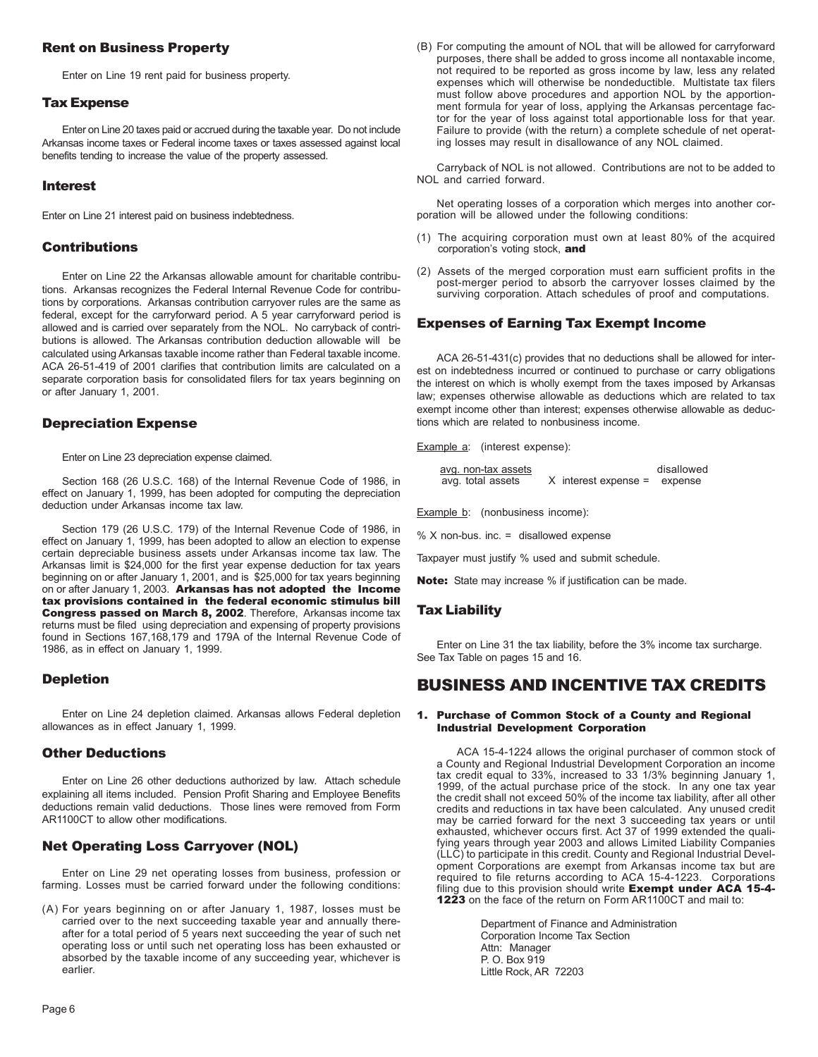#### Rent on Business Property

Enter on Line 19 rent paid for business property.

#### Tax Expense

Enter on Line 20 taxes paid or accrued during the taxable year. Do not include Arkansas income taxes or Federal income taxes or taxes assessed against local benefits tending to increase the value of the property assessed.

#### Interest

Enter on Line 21 interest paid on business indebtedness.

#### Contributions

Enter on Line 22 the Arkansas allowable amount for charitable contributions. Arkansas recognizes the Federal Internal Revenue Code for contributions by corporations. Arkansas contribution carryover rules are the same as federal, except for the carryforward period. A 5 year carryforward period is allowed and is carried over separately from the NOL. No carryback of contributions is allowed. The Arkansas contribution deduction allowable will be calculated using Arkansas taxable income rather than Federal taxable income. ACA 26-51-419 of 2001 clarifies that contribution limits are calculated on a separate corporation basis for consolidated filers for tax years beginning on or after January 1, 2001.

#### Depreciation Expense

Enter on Line 23 depreciation expense claimed.

Section 168 (26 U.S.C. 168) of the Internal Revenue Code of 1986, in effect on January 1, 1999, has been adopted for computing the depreciation deduction under Arkansas income tax law.

Section 179 (26 U.S.C. 179) of the Internal Revenue Code of 1986, in effect on January 1, 1999, has been adopted to allow an election to expense certain depreciable business assets under Arkansas income tax law. The Arkansas limit is \$24,000 for the first year expense deduction for tax years beginning on or after January 1, 2001, and is \$25,000 for tax years beginning on or after January 1, 2003. Arkansas has not adopted the Income tax provisions contained in the federal economic stimulus bill Congress passed on March 8, 2002. Therefore, Arkansas income tax returns must be filed using depreciation and expensing of property provisions found in Sections 167,168,179 and 179A of the Internal Revenue Code of 1986, as in effect on January 1, 1999.

#### Depletion

Enter on Line 24 depletion claimed. Arkansas allows Federal depletion allowances as in effect January 1, 1999.

#### Other Deductions

Enter on Line 26 other deductions authorized by law. Attach schedule explaining all items included. Pension Profit Sharing and Employee Benefits deductions remain valid deductions. Those lines were removed from Form AR1100CT to allow other modifications.

#### Net Operating Loss Carryover (NOL)

Enter on Line 29 net operating losses from business, profession or farming. Losses must be carried forward under the following conditions:

(A) For years beginning on or after January 1, 1987, losses must be carried over to the next succeeding taxable year and annually thereafter for a total period of 5 years next succeeding the year of such net operating loss or until such net operating loss has been exhausted or absorbed by the taxable income of any succeeding year, whichever is earlier.

(B) For computing the amount of NOL that will be allowed for carryforward purposes, there shall be added to gross income all nontaxable income, not required to be reported as gross income by law, less any related expenses which will otherwise be nondeductible. Multistate tax filers must follow above procedures and apportion NOL by the apportionment formula for year of loss, applying the Arkansas percentage factor for the year of loss against total apportionable loss for that year. Failure to provide (with the return) a complete schedule of net operating losses may result in disallowance of any NOL claimed.

Carryback of NOL is not allowed. Contributions are not to be added to NOL and carried forward.

Net operating losses of a corporation which merges into another corporation will be allowed under the following conditions:

- (1) The acquiring corporation must own at least 80% of the acquired corporation's voting stock, and
- (2) Assets of the merged corporation must earn sufficient profits in the post-merger period to absorb the carryover losses claimed by the surviving corporation. Attach schedules of proof and computations.

#### Expenses of Earning Tax Exempt Income

ACA 26-51-431(c) provides that no deductions shall be allowed for interest on indebtedness incurred or continued to purchase or carry obligations the interest on which is wholly exempt from the taxes imposed by Arkansas law; expenses otherwise allowable as deductions which are related to tax exempt income other than interest; expenses otherwise allowable as deductions which are related to nonbusiness income.

Example a: (interest expense):

avg. non-tax assets disallowed avg. total assets X interest expense = expense

Example b: (nonbusiness income):

% X non-bus. inc. = disallowed expense

Taxpayer must justify % used and submit schedule.

Note: State may increase % if justification can be made.

#### Tax Liability

Enter on Line 31 the tax liability, before the 3% income tax surcharge. See Tax Table on pages 15 and 16.

#### BUSINESS AND INCENTIVE TAX CREDITS

#### 1. Purchase of Common Stock of a County and Regional Industrial Development Corporation

ACA 15-4-1224 allows the original purchaser of common stock of a County and Regional Industrial Development Corporation an income tax credit equal to 33%, increased to 33 1/3% beginning January 1, 1999, of the actual purchase price of the stock. In any one tax year the credit shall not exceed 50% of the income tax liability, after all other credits and reductions in tax have been calculated. Any unused credit may be carried forward for the next 3 succeeding tax years or until exhausted, whichever occurs first. Act 37 of 1999 extended the qualifying years through year 2003 and allows Limited Liability Companies (LLC) to participate in this credit. County and Regional Industrial Development Corporations are exempt from Arkansas income tax but are required to file returns according to ACA 15-4-1223. Corporations filing due to this provision should write Exempt under ACA 15-4-1223 on the face of the return on Form AR1100CT and mail to:

> Department of Finance and Administration Corporation Income Tax Section Attn: Manager P. O. Box 919 Little Rock, AR 72203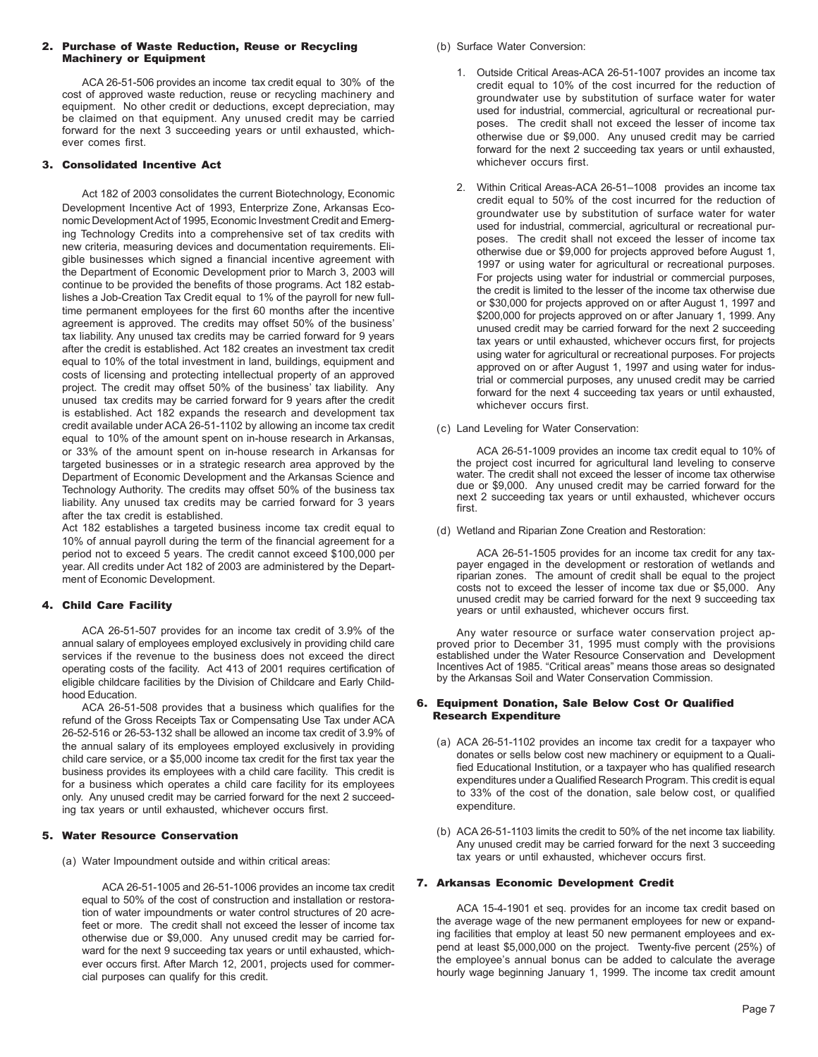#### 2. Purchase of Waste Reduction, Reuse or Recycling Machinery or Equipment

ACA 26-51-506 provides an income tax credit equal to 30% of the cost of approved waste reduction, reuse or recycling machinery and equipment. No other credit or deductions, except depreciation, may be claimed on that equipment. Any unused credit may be carried forward for the next 3 succeeding years or until exhausted, whichever comes first.

#### 3. Consolidated Incentive Act

Act 182 of 2003 consolidates the current Biotechnology, Economic Development Incentive Act of 1993, Enterprize Zone, Arkansas Economic Development Act of 1995, Economic Investment Credit and Emerging Technology Credits into a comprehensive set of tax credits with new criteria, measuring devices and documentation requirements. Eligible businesses which signed a financial incentive agreement with the Department of Economic Development prior to March 3, 2003 will continue to be provided the benefits of those programs. Act 182 establishes a Job-Creation Tax Credit equal to 1% of the payroll for new fulltime permanent employees for the first 60 months after the incentive agreement is approved. The credits may offset 50% of the business' tax liability. Any unused tax credits may be carried forward for 9 years after the credit is established. Act 182 creates an investment tax credit equal to 10% of the total investment in land, buildings, equipment and costs of licensing and protecting intellectual property of an approved project. The credit may offset 50% of the business' tax liability. Any unused tax credits may be carried forward for 9 years after the credit is established. Act 182 expands the research and development tax credit available under ACA 26-51-1102 by allowing an income tax credit equal to 10% of the amount spent on in-house research in Arkansas, or 33% of the amount spent on in-house research in Arkansas for targeted businesses or in a strategic research area approved by the Department of Economic Development and the Arkansas Science and Technology Authority. The credits may offset 50% of the business tax liability. Any unused tax credits may be carried forward for 3 years after the tax credit is established.

Act 182 establishes a targeted business income tax credit equal to 10% of annual payroll during the term of the financial agreement for a period not to exceed 5 years. The credit cannot exceed \$100,000 per year. All credits under Act 182 of 2003 are administered by the Department of Economic Development.

#### 4. Child Care Facility

ACA 26-51-507 provides for an income tax credit of 3.9% of the annual salary of employees employed exclusively in providing child care services if the revenue to the business does not exceed the direct operating costs of the facility. Act 413 of 2001 requires certification of eligible childcare facilities by the Division of Childcare and Early Childhood Education.

ACA 26-51-508 provides that a business which qualifies for the refund of the Gross Receipts Tax or Compensating Use Tax under ACA 26-52-516 or 26-53-132 shall be allowed an income tax credit of 3.9% of the annual salary of its employees employed exclusively in providing child care service, or a \$5,000 income tax credit for the first tax year the business provides its employees with a child care facility. This credit is for a business which operates a child care facility for its employees only. Any unused credit may be carried forward for the next 2 succeeding tax years or until exhausted, whichever occurs first.

#### 5. Water Resource Conservation

(a) Water Impoundment outside and within critical areas:

ACA 26-51-1005 and 26-51-1006 provides an income tax credit equal to 50% of the cost of construction and installation or restoration of water impoundments or water control structures of 20 acrefeet or more. The credit shall not exceed the lesser of income tax otherwise due or \$9,000. Any unused credit may be carried forward for the next 9 succeeding tax years or until exhausted, whichever occurs first. After March 12, 2001, projects used for commercial purposes can qualify for this credit.

- (b) Surface Water Conversion:
	- 1. Outside Critical Areas-ACA 26-51-1007 provides an income tax credit equal to 10% of the cost incurred for the reduction of groundwater use by substitution of surface water for water used for industrial, commercial, agricultural or recreational purposes. The credit shall not exceed the lesser of income tax otherwise due or \$9,000. Any unused credit may be carried forward for the next 2 succeeding tax years or until exhausted, whichever occurs first.
	- 2. Within Critical Areas-ACA 26-51–1008 provides an income tax credit equal to 50% of the cost incurred for the reduction of groundwater use by substitution of surface water for water used for industrial, commercial, agricultural or recreational purposes. The credit shall not exceed the lesser of income tax otherwise due or \$9,000 for projects approved before August 1, 1997 or using water for agricultural or recreational purposes. For projects using water for industrial or commercial purposes, the credit is limited to the lesser of the income tax otherwise due or \$30,000 for projects approved on or after August 1, 1997 and \$200,000 for projects approved on or after January 1, 1999. Any unused credit may be carried forward for the next 2 succeeding tax years or until exhausted, whichever occurs first, for projects using water for agricultural or recreational purposes. For projects approved on or after August 1, 1997 and using water for industrial or commercial purposes, any unused credit may be carried forward for the next 4 succeeding tax years or until exhausted, whichever occurs first.
- (c) Land Leveling for Water Conservation:

ACA 26-51-1009 provides an income tax credit equal to 10% of the project cost incurred for agricultural land leveling to conserve water. The credit shall not exceed the lesser of income tax otherwise due or \$9,000. Any unused credit may be carried forward for the next 2 succeeding tax years or until exhausted, whichever occurs first.

(d) Wetland and Riparian Zone Creation and Restoration:

ACA 26-51-1505 provides for an income tax credit for any taxpayer engaged in the development or restoration of wetlands and riparian zones. The amount of credit shall be equal to the project costs not to exceed the lesser of income tax due or \$5,000. Any unused credit may be carried forward for the next 9 succeeding tax years or until exhausted, whichever occurs first.

Any water resource or surface water conservation project approved prior to December 31, 1995 must comply with the provisions established under the Water Resource Conservation and Development Incentives Act of 1985. "Critical areas" means those areas so designated by the Arkansas Soil and Water Conservation Commission.

#### 6. Equipment Donation, Sale Below Cost Or Qualified Research Expenditure

- (a) ACA 26-51-1102 provides an income tax credit for a taxpayer who donates or sells below cost new machinery or equipment to a Qualified Educational Institution, or a taxpayer who has qualified research expenditures under a Qualified Research Program. This credit is equal to 33% of the cost of the donation, sale below cost, or qualified expenditure.
- (b) ACA 26-51-1103 limits the credit to 50% of the net income tax liability. Any unused credit may be carried forward for the next 3 succeeding tax years or until exhausted, whichever occurs first.

#### 7. Arkansas Economic Development Credit

ACA 15-4-1901 et seq. provides for an income tax credit based on the average wage of the new permanent employees for new or expanding facilities that employ at least 50 new permanent employees and expend at least \$5,000,000 on the project. Twenty-five percent (25%) of the employee's annual bonus can be added to calculate the average hourly wage beginning January 1, 1999. The income tax credit amount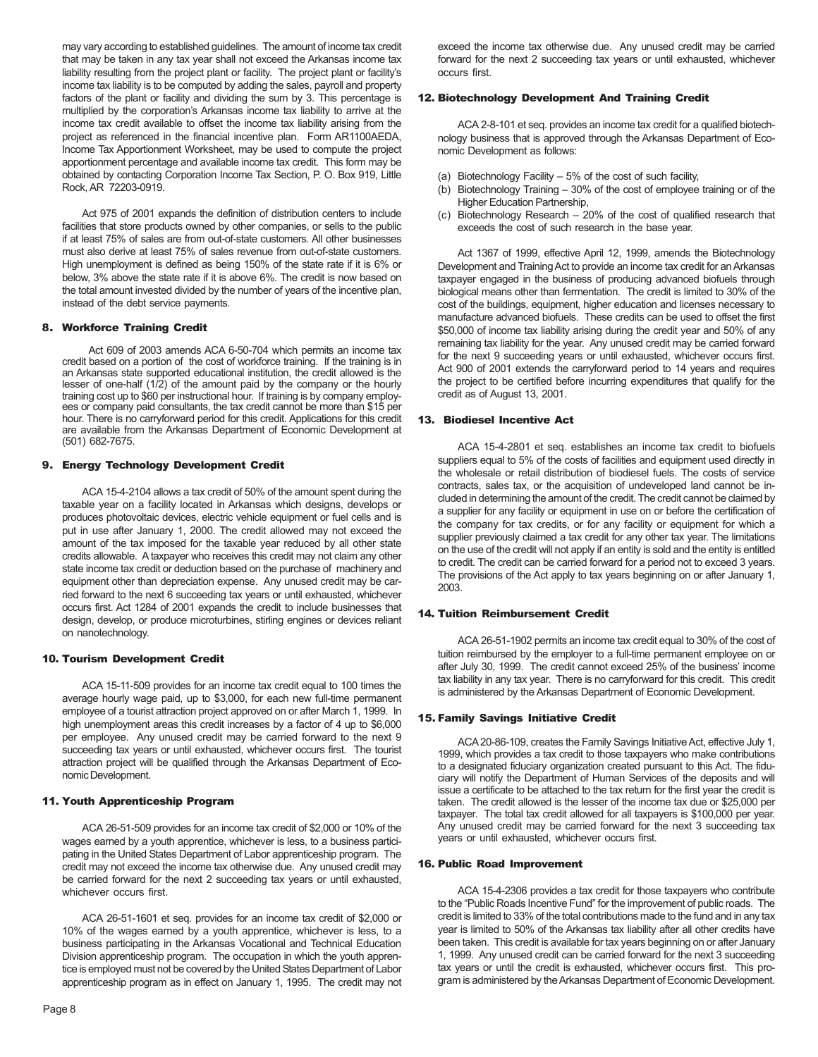may vary according to established guidelines. The amount of income tax credit that may be taken in any tax year shall not exceed the Arkansas income tax liability resulting from the project plant or facility. The project plant or facility's income tax liability is to be computed by adding the sales, payroll and property factors of the plant or facility and dividing the sum by 3. This percentage is multiplied by the corporation's Arkansas income tax liability to arrive at the income tax credit available to offset the income tax liability arising from the project as referenced in the financial incentive plan. Form AR1100AEDA, Income Tax Apportionment Worksheet, may be used to compute the project apportionment percentage and available income tax credit. This form may be obtained by contacting Corporation Income Tax Section, P. O. Box 919, Little Rock, AR 72203-0919.

Act 975 of 2001 expands the definition of distribution centers to include facilities that store products owned by other companies, or sells to the public if at least 75% of sales are from out-of-state customers. All other businesses must also derive at least 75% of sales revenue from out-of-state customers. High unemployment is defined as being 150% of the state rate if it is 6% or below, 3% above the state rate if it is above 6%. The credit is now based on the total amount invested divided by the number of years of the incentive plan, instead of the debt service payments.

#### 8. Workforce Training Credit

 Act 609 of 2003 amends ACA 6-50-704 which permits an income tax credit based on a portion of the cost of workforce training. If the training is in an Arkansas state supported educational institution, the credit allowed is the lesser of one-half (1/2) of the amount paid by the company or the hourly training cost up to \$60 per instructional hour. If training is by company employees or company paid consultants, the tax credit cannot be more than \$15 per hour. There is no carryforward period for this credit. Applications for this credit are available from the Arkansas Department of Economic Development at (501) 682-7675.

#### 9. Energy Technology Development Credit

ACA 15-4-2104 allows a tax credit of 50% of the amount spent during the taxable year on a facility located in Arkansas which designs, develops or produces photovoltaic devices, electric vehicle equipment or fuel cells and is put in use after January 1, 2000. The credit allowed may not exceed the amount of the tax imposed for the taxable year reduced by all other state credits allowable. A taxpayer who receives this credit may not claim any other state income tax credit or deduction based on the purchase of machinery and equipment other than depreciation expense. Any unused credit may be carried forward to the next 6 succeeding tax years or until exhausted, whichever occurs first. Act 1284 of 2001 expands the credit to include businesses that design, develop, or produce microturbines, stirling engines or devices reliant on nanotechnology.

#### 10. Tourism Development Credit

ACA 15-11-509 provides for an income tax credit equal to 100 times the average hourly wage paid, up to \$3,000, for each new full-time permanent employee of a tourist attraction project approved on or after March 1, 1999. In high unemployment areas this credit increases by a factor of 4 up to \$6,000 per employee. Any unused credit may be carried forward to the next 9 succeeding tax years or until exhausted, whichever occurs first. The tourist attraction project will be qualified through the Arkansas Department of Economic Development.

#### 11. Youth Apprenticeship Program

ACA 26-51-509 provides for an income tax credit of \$2,000 or 10% of the wages earned by a youth apprentice, whichever is less, to a business participating in the United States Department of Labor apprenticeship program. The credit may not exceed the income tax otherwise due. Any unused credit may be carried forward for the next 2 succeeding tax years or until exhausted, whichever occurs first.

ACA 26-51-1601 et seq. provides for an income tax credit of \$2,000 or 10% of the wages earned by a youth apprentice, whichever is less, to a business participating in the Arkansas Vocational and Technical Education Division apprenticeship program. The occupation in which the youth apprentice is employed must not be covered by the United States Department of Labor apprenticeship program as in effect on January 1, 1995. The credit may not exceed the income tax otherwise due. Any unused credit may be carried forward for the next 2 succeeding tax years or until exhausted, whichever occurs first.

#### 12. Biotechnology Development And Training Credit

ACA 2-8-101 et seq. provides an income tax credit for a qualified biotechnology business that is approved through the Arkansas Department of Economic Development as follows:

- (a) Biotechnology Facility 5% of the cost of such facility,
- (b) Biotechnology Training 30% of the cost of employee training or of the Higher Education Partnership,
- (c) Biotechnology Research 20% of the cost of qualified research that exceeds the cost of such research in the base year.

Act 1367 of 1999, effective April 12, 1999, amends the Biotechnology Development and Training Act to provide an income tax credit for an Arkansas taxpayer engaged in the business of producing advanced biofuels through biological means other than fermentation. The credit is limited to 30% of the cost of the buildings, equipment, higher education and licenses necessary to manufacture advanced biofuels. These credits can be used to offset the first \$50,000 of income tax liability arising during the credit year and 50% of any remaining tax liability for the year. Any unused credit may be carried forward for the next 9 succeeding years or until exhausted, whichever occurs first. Act 900 of 2001 extends the carryforward period to 14 years and requires the project to be certified before incurring expenditures that qualify for the credit as of August 13, 2001.

#### 13. Biodiesel Incentive Act

ACA 15-4-2801 et seq. establishes an income tax credit to biofuels suppliers equal to 5% of the costs of facilities and equipment used directly in the wholesale or retail distribution of biodiesel fuels. The costs of service contracts, sales tax, or the acquisition of undeveloped land cannot be included in determining the amount of the credit. The credit cannot be claimed by a supplier for any facility or equipment in use on or before the certification of the company for tax credits, or for any facility or equipment for which a supplier previously claimed a tax credit for any other tax year. The limitations on the use of the credit will not apply if an entity is sold and the entity is entitled to credit. The credit can be carried forward for a period not to exceed 3 years. The provisions of the Act apply to tax years beginning on or after January 1, 2003.

#### 14. Tuition Reimbursement Credit

ACA 26-51-1902 permits an income tax credit equal to 30% of the cost of tuition reimbursed by the employer to a full-time permanent employee on or after July 30, 1999. The credit cannot exceed 25% of the business' income tax liability in any tax year. There is no carryforward for this credit. This credit is administered by the Arkansas Department of Economic Development.

#### 15. Family Savings Initiative Credit

ACA 20-86-109, creates the Family Savings Initiative Act, effective July 1, 1999, which provides a tax credit to those taxpayers who make contributions to a designated fiduciary organization created pursuant to this Act. The fiduciary will notify the Department of Human Services of the deposits and will issue a certificate to be attached to the tax return for the first year the credit is taken. The credit allowed is the lesser of the income tax due or \$25,000 per taxpayer. The total tax credit allowed for all taxpayers is \$100,000 per year. Any unused credit may be carried forward for the next 3 succeeding tax years or until exhausted, whichever occurs first.

#### 16. Public Road Improvement

ACA 15-4-2306 provides a tax credit for those taxpayers who contribute to the "Public Roads Incentive Fund" for the improvement of public roads. The credit is limited to 33% of the total contributions made to the fund and in any tax year is limited to 50% of the Arkansas tax liability after all other credits have been taken. This credit is available for tax years beginning on or after January 1, 1999. Any unused credit can be carried forward for the next 3 succeeding tax years or until the credit is exhausted, whichever occurs first. This program is administered by the Arkansas Department of Economic Development.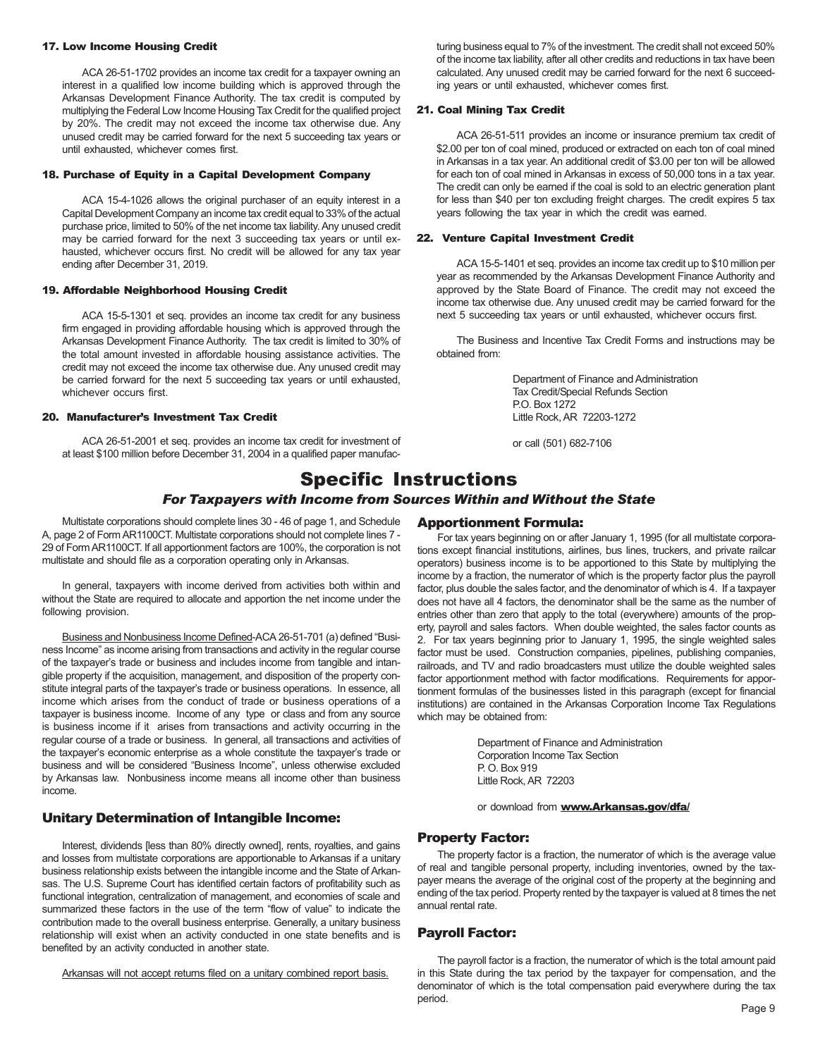#### 17. Low Income Housing Credit

ACA 26-51-1702 provides an income tax credit for a taxpayer owning an interest in a qualified low income building which is approved through the Arkansas Development Finance Authority. The tax credit is computed by multiplying the Federal Low Income Housing Tax Credit for the qualified project by 20%. The credit may not exceed the income tax otherwise due. Any unused credit may be carried forward for the next 5 succeeding tax years or until exhausted, whichever comes first.

#### 18. Purchase of Equity in a Capital Development Company

ACA 15-4-1026 allows the original purchaser of an equity interest in a Capital Development Company an income tax credit equal to 33% of the actual purchase price, limited to 50% of the net income tax liability. Any unused credit may be carried forward for the next 3 succeeding tax years or until exhausted, whichever occurs first. No credit will be allowed for any tax year ending after December 31, 2019.

#### 19. Affordable Neighborhood Housing Credit

ACA 15-5-1301 et seq. provides an income tax credit for any business firm engaged in providing affordable housing which is approved through the Arkansas Development Finance Authority. The tax credit is limited to 30% of the total amount invested in affordable housing assistance activities. The credit may not exceed the income tax otherwise due. Any unused credit may be carried forward for the next 5 succeeding tax years or until exhausted, whichever occurs first.

#### 20. Manufacturer's Investment Tax Credit

ACA 26-51-2001 et seq. provides an income tax credit for investment of at least \$100 million before December 31, 2004 in a qualified paper manufacturing business equal to 7% of the investment. The credit shall not exceed 50% of the income tax liability, after all other credits and reductions in tax have been calculated. Any unused credit may be carried forward for the next 6 succeeding years or until exhausted, whichever comes first.

#### 21. Coal Mining Tax Credit

ACA 26-51-511 provides an income or insurance premium tax credit of \$2.00 per ton of coal mined, produced or extracted on each ton of coal mined in Arkansas in a tax year. An additional credit of \$3.00 per ton will be allowed for each ton of coal mined in Arkansas in excess of 50,000 tons in a tax year. The credit can only be earned if the coal is sold to an electric generation plant for less than \$40 per ton excluding freight charges. The credit expires 5 tax years following the tax year in which the credit was earned.

#### 22. Venture Capital Investment Credit

ACA 15-5-1401 et seq. provides an income tax credit up to \$10 million per year as recommended by the Arkansas Development Finance Authority and approved by the State Board of Finance. The credit may not exceed the income tax otherwise due. Any unused credit may be carried forward for the next 5 succeeding tax years or until exhausted, whichever occurs first.

The Business and Incentive Tax Credit Forms and instructions may be obtained from:

> Department of Finance and Administration Tax Credit/Special Refunds Section P.O. Box 1272 Little Rock, AR 72203-1272

or call (501) 682-7106

### Specific Instructions

#### *For Taxpayers with Income from Sources Within and Without the State*

Multistate corporations should complete lines 30 - 46 of page 1, and Schedule A, page 2 of Form AR1100CT. Multistate corporations should not complete lines 7 - 29 of Form AR1100CT. If all apportionment factors are 100%, the corporation is not multistate and should file as a corporation operating only in Arkansas.

In general, taxpayers with income derived from activities both within and without the State are required to allocate and apportion the net income under the following provision.

Business and Nonbusiness Income Defined-ACA 26-51-701 (a) defined "Business Income" as income arising from transactions and activity in the regular course of the taxpayer's trade or business and includes income from tangible and intangible property if the acquisition, management, and disposition of the property constitute integral parts of the taxpayer's trade or business operations. In essence, all income which arises from the conduct of trade or business operations of a taxpayer is business income. Income of any type or class and from any source is business income if it arises from transactions and activity occurring in the regular course of a trade or business. In general, all transactions and activities of the taxpayer's economic enterprise as a whole constitute the taxpayer's trade or business and will be considered "Business Income", unless otherwise excluded by Arkansas law. Nonbusiness income means all income other than business income.

#### Unitary Determination of Intangible Income:

Interest, dividends [less than 80% directly owned], rents, royalties, and gains and losses from multistate corporations are apportionable to Arkansas if a unitary business relationship exists between the intangible income and the State of Arkansas. The U.S. Supreme Court has identified certain factors of profitability such as functional integration, centralization of management, and economies of scale and summarized these factors in the use of the term "flow of value" to indicate the contribution made to the overall business enterprise. Generally, a unitary business relationship will exist when an activity conducted in one state benefits and is benefited by an activity conducted in another state.

Arkansas will not accept returns filed on a unitary combined report basis.

#### Apportionment Formula:

For tax years beginning on or after January 1, 1995 (for all multistate corporations except financial institutions, airlines, bus lines, truckers, and private railcar operators) business income is to be apportioned to this State by multiplying the income by a fraction, the numerator of which is the property factor plus the payroll factor, plus double the sales factor, and the denominator of which is 4. If a taxpayer does not have all 4 factors, the denominator shall be the same as the number of entries other than zero that apply to the total (everywhere) amounts of the property, payroll and sales factors. When double weighted, the sales factor counts as 2. For tax years beginning prior to January 1, 1995, the single weighted sales factor must be used. Construction companies, pipelines, publishing companies, railroads, and TV and radio broadcasters must utilize the double weighted sales factor apportionment method with factor modifications. Requirements for apportionment formulas of the businesses listed in this paragraph (except for financial institutions) are contained in the Arkansas Corporation Income Tax Regulations which may be obtained from:

> Department of Finance and Administration Corporation Income Tax Section P. O. Box 919 Little Rock, AR 72203

or download from **www.Arkansas.gov/dfa/** 

#### Property Factor:

The property factor is a fraction, the numerator of which is the average value of real and tangible personal property, including inventories, owned by the taxpayer means the average of the original cost of the property at the beginning and ending of the tax period. Property rented by the taxpayer is valued at 8 times the net annual rental rate.

#### Payroll Factor:

The payroll factor is a fraction, the numerator of which is the total amount paid in this State during the tax period by the taxpayer for compensation, and the denominator of which is the total compensation paid everywhere during the tax period.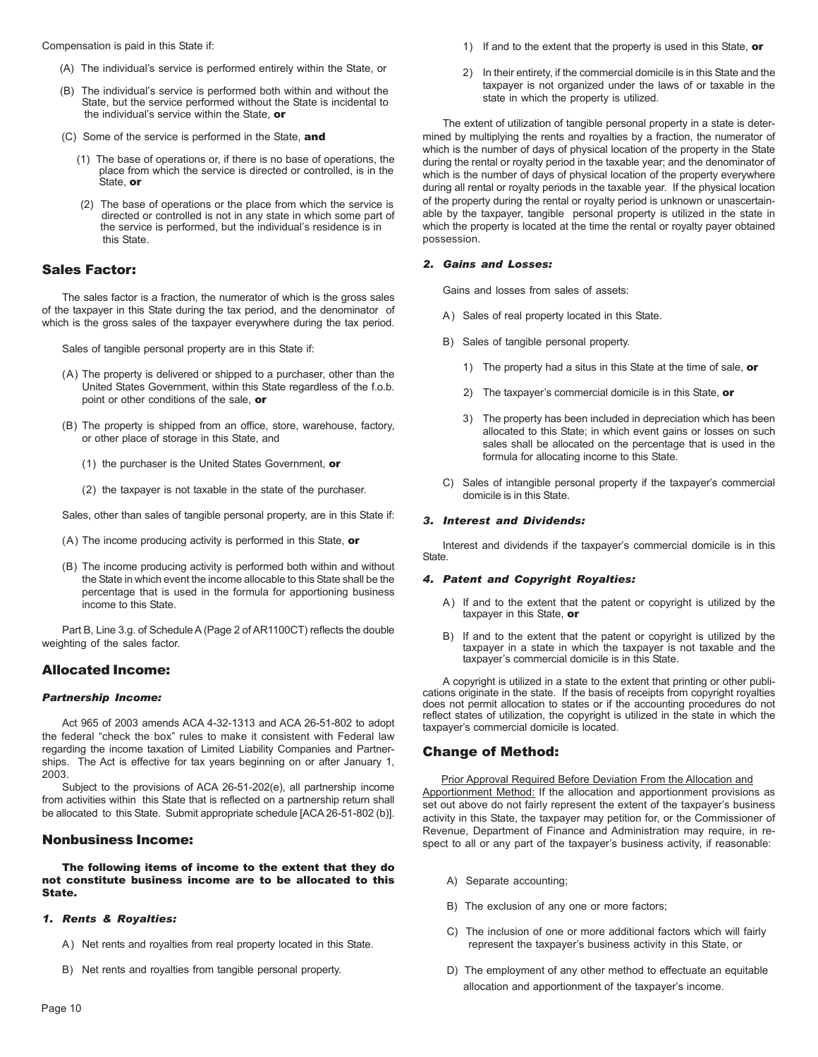Compensation is paid in this State if:

- (A) The individual's service is performed entirely within the State, or
- (B) The individual's service is performed both within and without the State, but the service performed without the State is incidental to the individual's service within the State, or
- (C) Some of the service is performed in the State, and
	- (1) The base of operations or, if there is no base of operations, the place from which the service is directed or controlled, is in the State, or
	- (2) The base of operations or the place from which the service is directed or controlled is not in any state in which some part of the service is performed, but the individual's residence is in this State.

#### Sales Factor:

The sales factor is a fraction, the numerator of which is the gross sales of the taxpayer in this State during the tax period, and the denominator of which is the gross sales of the taxpayer everywhere during the tax period.

Sales of tangible personal property are in this State if:

- (A) The property is delivered or shipped to a purchaser, other than the United States Government, within this State regardless of the f.o.b. point or other conditions of the sale, or
- (B) The property is shipped from an office, store, warehouse, factory, or other place of storage in this State, and
	- (1) the purchaser is the United States Government, or
	- (2) the taxpayer is not taxable in the state of the purchaser.

Sales, other than sales of tangible personal property, are in this State if:

- (A) The income producing activity is performed in this State, or
- (B) The income producing activity is performed both within and without the State in which event the income allocable to this State shall be the percentage that is used in the formula for apportioning business income to this State.

Part B, Line 3.g. of Schedule A (Page 2 of AR1100CT) reflects the double weighting of the sales factor.

#### Allocated Income:

#### *Partnership Income:*

Act 965 of 2003 amends ACA 4-32-1313 and ACA 26-51-802 to adopt the federal "check the box" rules to make it consistent with Federal law regarding the income taxation of Limited Liability Companies and Partnerships. The Act is effective for tax years beginning on or after January 1, 2003.

Subject to the provisions of ACA 26-51-202(e), all partnership income from activities within this State that is reflected on a partnership return shall be allocated to this State. Submit appropriate schedule [ACA 26-51-802 (b)].

#### Nonbusiness Income:

The following items of income to the extent that they do not constitute business income are to be allocated to this State.

#### *1. Rents & Royalties:*

- A) Net rents and royalties from real property located in this State.
- B) Net rents and royalties from tangible personal property.
- 1) If and to the extent that the property is used in this State, or
- 2) In their entirety, if the commercial domicile is in this State and the taxpayer is not organized under the laws of or taxable in the state in which the property is utilized.

The extent of utilization of tangible personal property in a state is determined by multiplying the rents and royalties by a fraction, the numerator of which is the number of days of physical location of the property in the State during the rental or royalty period in the taxable year; and the denominator of which is the number of days of physical location of the property everywhere during all rental or royalty periods in the taxable year. If the physical location of the property during the rental or royalty period is unknown or unascertainable by the taxpayer, tangible personal property is utilized in the state in which the property is located at the time the rental or royalty payer obtained possession.

#### *2. Gains and Losses:*

Gains and losses from sales of assets:

- A) Sales of real property located in this State.
- B) Sales of tangible personal property.
	- 1) The property had a situs in this State at the time of sale, or
	- 2) The taxpayer's commercial domicile is in this State, or
	- 3) The property has been included in depreciation which has been allocated to this State; in which event gains or losses on such sales shall be allocated on the percentage that is used in the formula for allocating income to this State.
- C) Sales of intangible personal property if the taxpayer's commercial domicile is in this State.

#### *3. Interest and Dividends:*

Interest and dividends if the taxpayer's commercial domicile is in this **State.** 

#### *4. Patent and Copyright Royalties:*

- A) If and to the extent that the patent or copyright is utilized by the taxpayer in this State, or
- B) If and to the extent that the patent or copyright is utilized by the taxpayer in a state in which the taxpayer is not taxable and the taxpayer's commercial domicile is in this State.

A copyright is utilized in a state to the extent that printing or other publications originate in the state. If the basis of receipts from copyright royalties does not permit allocation to states or if the accounting procedures do not reflect states of utilization, the copyright is utilized in the state in which the taxpayer's commercial domicile is located.

#### Change of Method:

 Prior Approval Required Before Deviation From the Allocation and Apportionment Method: If the allocation and apportionment provisions as set out above do not fairly represent the extent of the taxpayer's business activity in this State, the taxpayer may petition for, or the Commissioner of Revenue, Department of Finance and Administration may require, in respect to all or any part of the taxpayer's business activity, if reasonable:

- A) Separate accounting;
- B) The exclusion of any one or more factors;
- C) The inclusion of one or more additional factors which will fairly represent the taxpayer's business activity in this State, or
- D) The employment of any other method to effectuate an equitable allocation and apportionment of the taxpayer's income.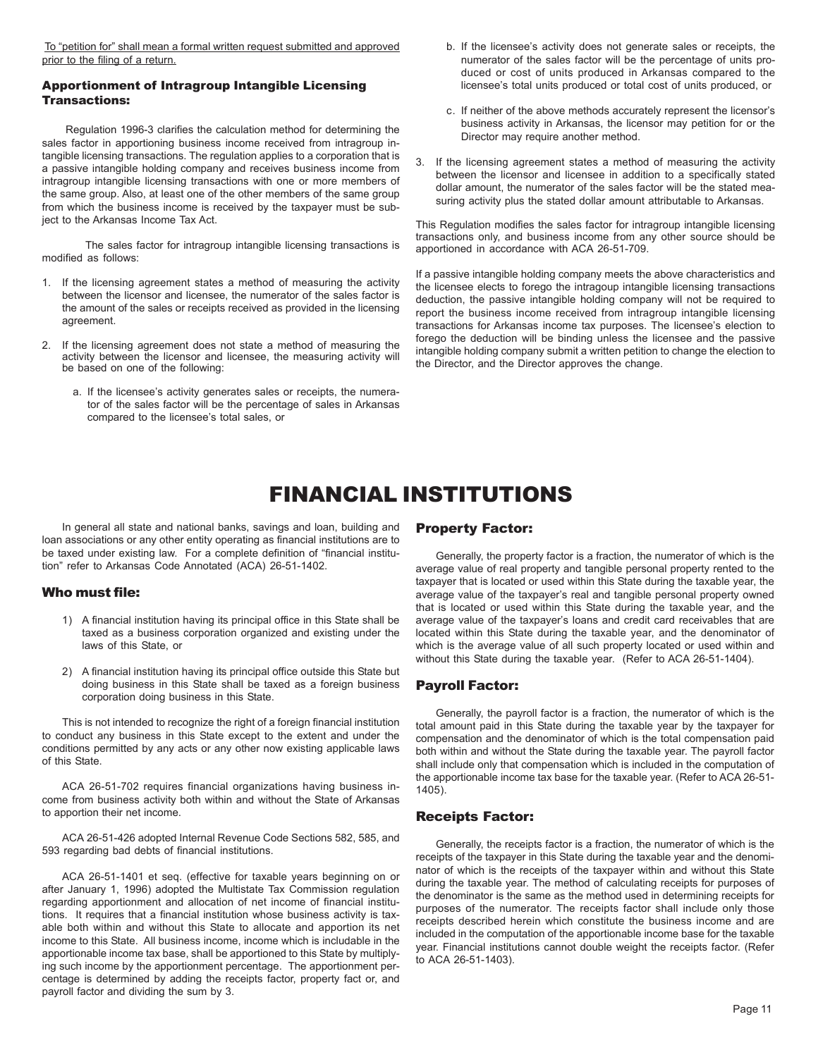To "petition for" shall mean a formal written request submitted and approved prior to the filing of a return.

#### Apportionment of Intragroup Intangible Licensing Transactions:

 Regulation 1996-3 clarifies the calculation method for determining the sales factor in apportioning business income received from intragroup intangible licensing transactions. The regulation applies to a corporation that is a passive intangible holding company and receives business income from intragroup intangible licensing transactions with one or more members of the same group. Also, at least one of the other members of the same group from which the business income is received by the taxpayer must be subject to the Arkansas Income Tax Act.

 The sales factor for intragroup intangible licensing transactions is modified as follows:

- 1. If the licensing agreement states a method of measuring the activity between the licensor and licensee, the numerator of the sales factor is the amount of the sales or receipts received as provided in the licensing agreement.
- 2. If the licensing agreement does not state a method of measuring the activity between the licensor and licensee, the measuring activity will be based on one of the following:
	- a. If the licensee's activity generates sales or receipts, the numerator of the sales factor will be the percentage of sales in Arkansas compared to the licensee's total sales, or
- b. If the licensee's activity does not generate sales or receipts, the numerator of the sales factor will be the percentage of units produced or cost of units produced in Arkansas compared to the licensee's total units produced or total cost of units produced, or
- c. If neither of the above methods accurately represent the licensor's business activity in Arkansas, the licensor may petition for or the Director may require another method.
- 3. If the licensing agreement states a method of measuring the activity between the licensor and licensee in addition to a specifically stated dollar amount, the numerator of the sales factor will be the stated measuring activity plus the stated dollar amount attributable to Arkansas.

This Regulation modifies the sales factor for intragroup intangible licensing transactions only, and business income from any other source should be apportioned in accordance with ACA 26-51-709.

If a passive intangible holding company meets the above characteristics and the licensee elects to forego the intragoup intangible licensing transactions deduction, the passive intangible holding company will not be required to report the business income received from intragroup intangible licensing transactions for Arkansas income tax purposes. The licensee's election to forego the deduction will be binding unless the licensee and the passive intangible holding company submit a written petition to change the election to the Director, and the Director approves the change.

## FINANCIAL INSTITUTIONS

In general all state and national banks, savings and loan, building and loan associations or any other entity operating as financial institutions are to be taxed under existing law. For a complete definition of "financial institution" refer to Arkansas Code Annotated (ACA) 26-51-1402.

#### Who must file:

- 1) A financial institution having its principal office in this State shall be taxed as a business corporation organized and existing under the laws of this State, or
- 2) A financial institution having its principal office outside this State but doing business in this State shall be taxed as a foreign business corporation doing business in this State.

This is not intended to recognize the right of a foreign financial institution to conduct any business in this State except to the extent and under the conditions permitted by any acts or any other now existing applicable laws of this State.

ACA 26-51-702 requires financial organizations having business income from business activity both within and without the State of Arkansas to apportion their net income.

ACA 26-51-426 adopted Internal Revenue Code Sections 582, 585, and 593 regarding bad debts of financial institutions.

ACA 26-51-1401 et seq. (effective for taxable years beginning on or after January 1, 1996) adopted the Multistate Tax Commission regulation regarding apportionment and allocation of net income of financial institutions. It requires that a financial institution whose business activity is taxable both within and without this State to allocate and apportion its net income to this State. All business income, income which is includable in the apportionable income tax base, shall be apportioned to this State by multiplying such income by the apportionment percentage. The apportionment percentage is determined by adding the receipts factor, property fact or, and payroll factor and dividing the sum by 3.

#### Property Factor:

Generally, the property factor is a fraction, the numerator of which is the average value of real property and tangible personal property rented to the taxpayer that is located or used within this State during the taxable year, the average value of the taxpayer's real and tangible personal property owned that is located or used within this State during the taxable year, and the average value of the taxpayer's loans and credit card receivables that are located within this State during the taxable year, and the denominator of which is the average value of all such property located or used within and without this State during the taxable year. (Refer to ACA 26-51-1404).

#### Payroll Factor:

Generally, the payroll factor is a fraction, the numerator of which is the total amount paid in this State during the taxable year by the taxpayer for compensation and the denominator of which is the total compensation paid both within and without the State during the taxable year. The payroll factor shall include only that compensation which is included in the computation of the apportionable income tax base for the taxable year. (Refer to ACA 26-51- 1405).

#### Receipts Factor:

Generally, the receipts factor is a fraction, the numerator of which is the receipts of the taxpayer in this State during the taxable year and the denominator of which is the receipts of the taxpayer within and without this State during the taxable year. The method of calculating receipts for purposes of the denominator is the same as the method used in determining receipts for purposes of the numerator. The receipts factor shall include only those receipts described herein which constitute the business income and are included in the computation of the apportionable income base for the taxable year. Financial institutions cannot double weight the receipts factor. (Refer to ACA 26-51-1403).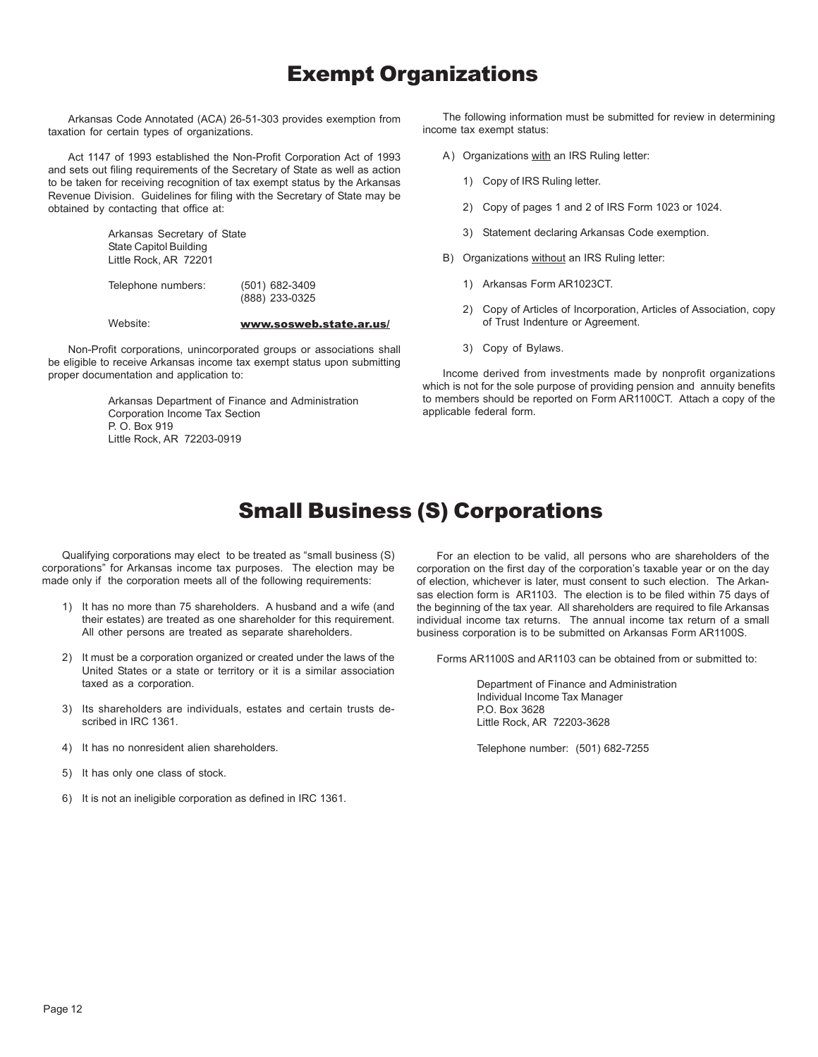## Exempt Organizations

Arkansas Code Annotated (ACA) 26-51-303 provides exemption from taxation for certain types of organizations.

Act 1147 of 1993 established the Non-Profit Corporation Act of 1993 and sets out filing requirements of the Secretary of State as well as action to be taken for receiving recognition of tax exempt status by the Arkansas Revenue Division. Guidelines for filing with the Secretary of State may be obtained by contacting that office at:

> Arkansas Secretary of State State Capitol Building Little Rock, AR 72201

Telephone numbers: (501) 682-3409

(888) 233-0325

Website: **www.sosweb.state.ar.us/** 

Non-Profit corporations, unincorporated groups or associations shall be eligible to receive Arkansas income tax exempt status upon submitting proper documentation and application to:

> Arkansas Department of Finance and Administration Corporation Income Tax Section P. O. Box 919 Little Rock, AR 72203-0919

The following information must be submitted for review in determining income tax exempt status:

- A) Organizations with an IRS Ruling letter:
	- 1) Copy of IRS Ruling letter.
	- 2) Copy of pages 1 and 2 of IRS Form 1023 or 1024.
	- 3) Statement declaring Arkansas Code exemption.
- B) Organizations without an IRS Ruling letter:
	- 1) Arkansas Form AR1023CT.
	- 2) Copy of Articles of Incorporation, Articles of Association, copy of Trust Indenture or Agreement.
	- 3) Copy of Bylaws.

Income derived from investments made by nonprofit organizations which is not for the sole purpose of providing pension and annuity benefits to members should be reported on Form AR1100CT. Attach a copy of the applicable federal form.

## Small Business (S) Corporations

Qualifying corporations may elect to be treated as "small business (S) corporations" for Arkansas income tax purposes. The election may be made only if the corporation meets all of the following requirements:

- 1) It has no more than 75 shareholders. A husband and a wife (and their estates) are treated as one shareholder for this requirement. All other persons are treated as separate shareholders.
- 2) It must be a corporation organized or created under the laws of the United States or a state or territory or it is a similar association taxed as a corporation.
- 3) Its shareholders are individuals, estates and certain trusts described in IRC 1361.
- 4) It has no nonresident alien shareholders.
- 5) It has only one class of stock.
- 6) It is not an ineligible corporation as defined in IRC 1361.

For an election to be valid, all persons who are shareholders of the corporation on the first day of the corporation's taxable year or on the day of election, whichever is later, must consent to such election. The Arkansas election form is AR1103. The election is to be filed within 75 days of the beginning of the tax year. All shareholders are required to file Arkansas individual income tax returns. The annual income tax return of a small business corporation is to be submitted on Arkansas Form AR1100S.

Forms AR1100S and AR1103 can be obtained from or submitted to:

Department of Finance and Administration Individual Income Tax Manager P.O. Box 3628 Little Rock, AR 72203-3628

Telephone number: (501) 682-7255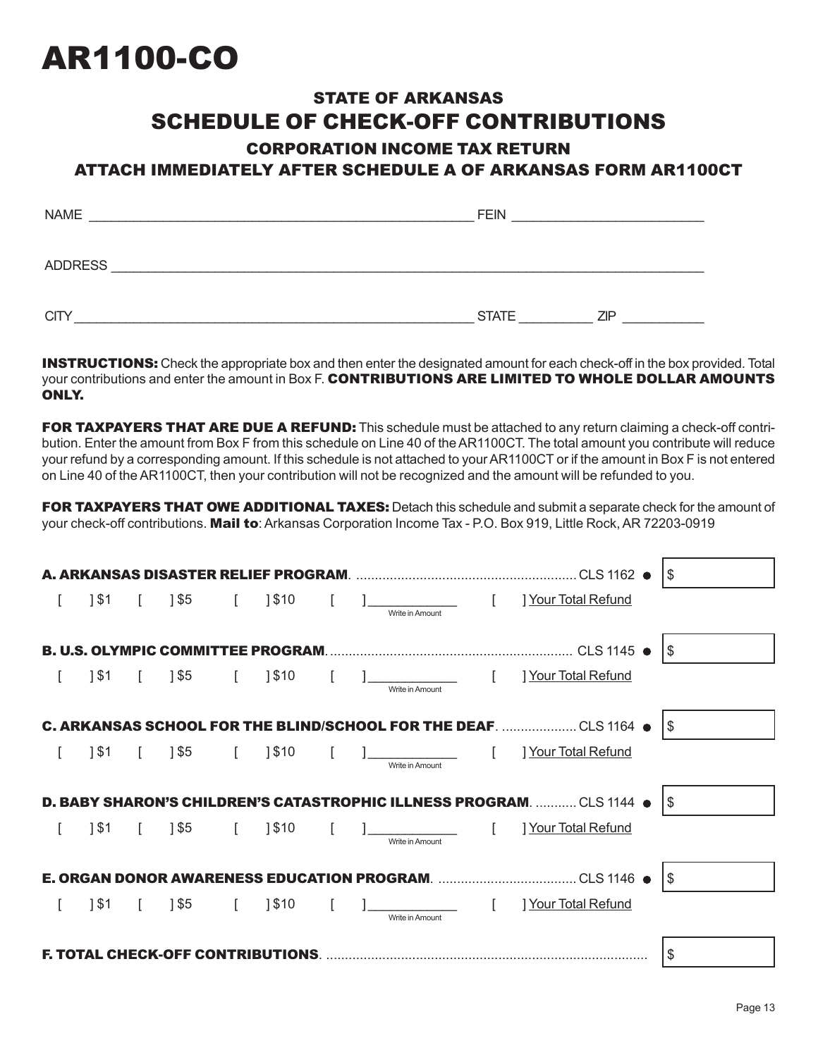## AR1100-CO

## STATE OF ARKANSAS SCHEDULE OF CHECK-OFF CONTRIBUTIONS

## CORPORATION INCOME TAX RETURN ATTACH IMMEDIATELY AFTER SCHEDULE A OF ARKANSAS FORM AR1100CT

| <b>NAME</b>    | <b>FEIN</b>  |     |
|----------------|--------------|-----|
|                |              |     |
| <b>ADDRESS</b> |              |     |
|                |              |     |
| <b>CITY</b>    | <b>STATE</b> | 7IP |

**INSTRUCTIONS:** Check the appropriate box and then enter the designated amount for each check-off in the box provided. Total your contributions and enter the amount in Box F. CONTRIBUTIONS ARE LIMITED TO WHOLE DOLLAR AMOUNTS ONLY.

FOR TAXPAYERS THAT ARE DUE A REFUND: This schedule must be attached to any return claiming a check-off contribution. Enter the amount from Box F from this schedule on Line 40 of the AR1100CT. The total amount you contribute will reduce your refund by a corresponding amount. If this schedule is not attached to your AR1100CT or if the amount in Box F is not entered on Line 40 of the AR1100CT, then your contribution will not be recognized and the amount will be refunded to you.

FOR TAXPAYERS THAT OWE ADDITIONAL TAXES: Detach this schedule and submit a separate check for the amount of your check-off contributions. Mail to: Arkansas Corporation Income Tax - P.O. Box 919, Little Rock, AR 72203-0919

|       |              |       |                 |            |                                                              |                                                                              | $\sqrt[6]{3}$              |
|-------|--------------|-------|-----------------|------------|--------------------------------------------------------------|------------------------------------------------------------------------------|----------------------------|
| ] \$1 | $\mathbb{R}$ | 1\$5  |                 | $[$ ] \$10 | $\begin{bmatrix} 1 & 1 & 1 \end{bmatrix}$<br>Write in Amount | Your Total Refund                                                            |                            |
|       |              |       |                 |            |                                                              |                                                                              | $\$\$                      |
| ] \$1 |              | ] \$5 | - 1             | ] \$10     | $\begin{bmatrix} 1 & 1 \end{bmatrix}$<br>Write in Amount     | Your Total Refund                                                            |                            |
|       |              |       |                 |            |                                                              | <b>C. ARKANSAS SCHOOL FOR THE BLIND/SCHOOL FOR THE DEAF. CLS 1164 .</b>      | $\sqrt{3}$                 |
| ] \$1 |              | 1\$5  | - 1             | ] \$10     | $\begin{bmatrix} 1 & 1 \end{bmatrix}$<br>Write in Amount     | Your Total Refund                                                            |                            |
|       |              |       |                 |            |                                                              | <b>D. BABY SHARON'S CHILDREN'S CATASTROPHIC ILLNESS PROGRAM.  CLS 1144 .</b> | $\boldsymbol{\mathcal{S}}$ |
| ] \$1 |              | 1\$5  | <b>Contract</b> | ] \$10     | $\begin{bmatrix} 1 & 1 \end{bmatrix}$<br>Write in Amount     | ] Your Total Refund                                                          |                            |
|       |              |       |                 |            |                                                              |                                                                              | $\sqrt[6]{3}$              |
| ] \$1 |              | 1\$5  | $\mathbf{L}$    | ] \$10     | $\begin{bmatrix} 1 & 1 \end{bmatrix}$<br>Write in Amount     | Your Total Refund                                                            |                            |
|       |              |       |                 |            |                                                              |                                                                              |                            |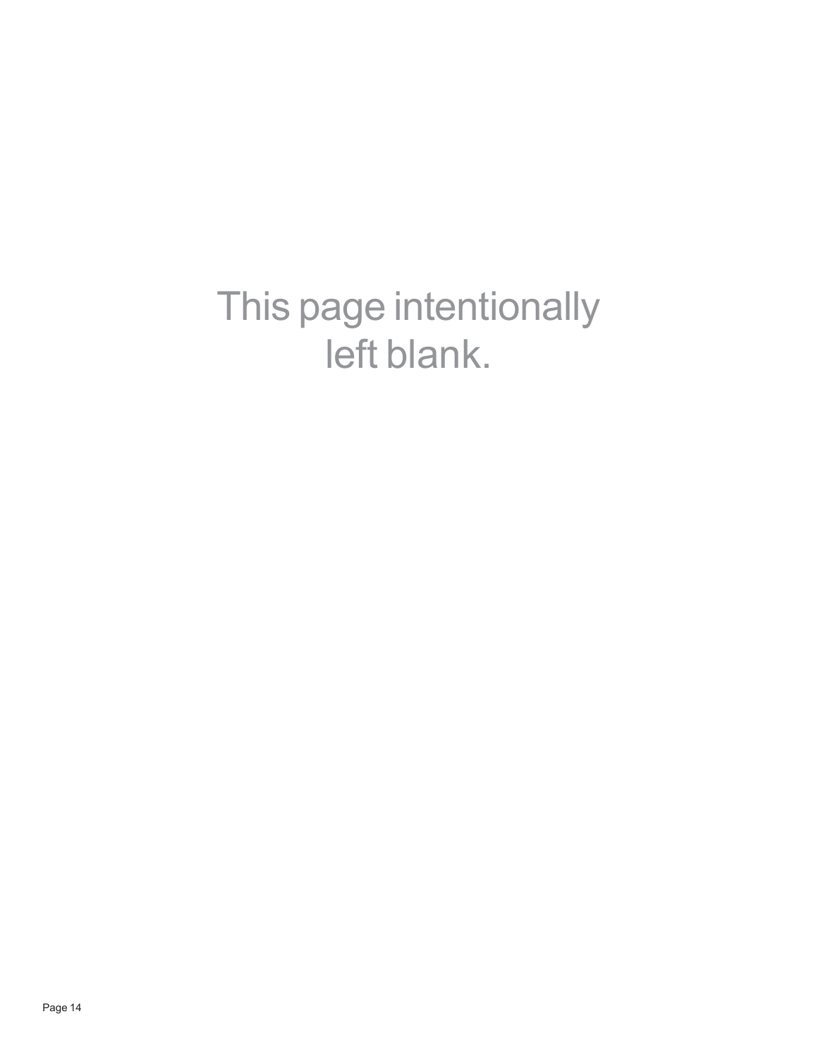# This page intentionally left blank.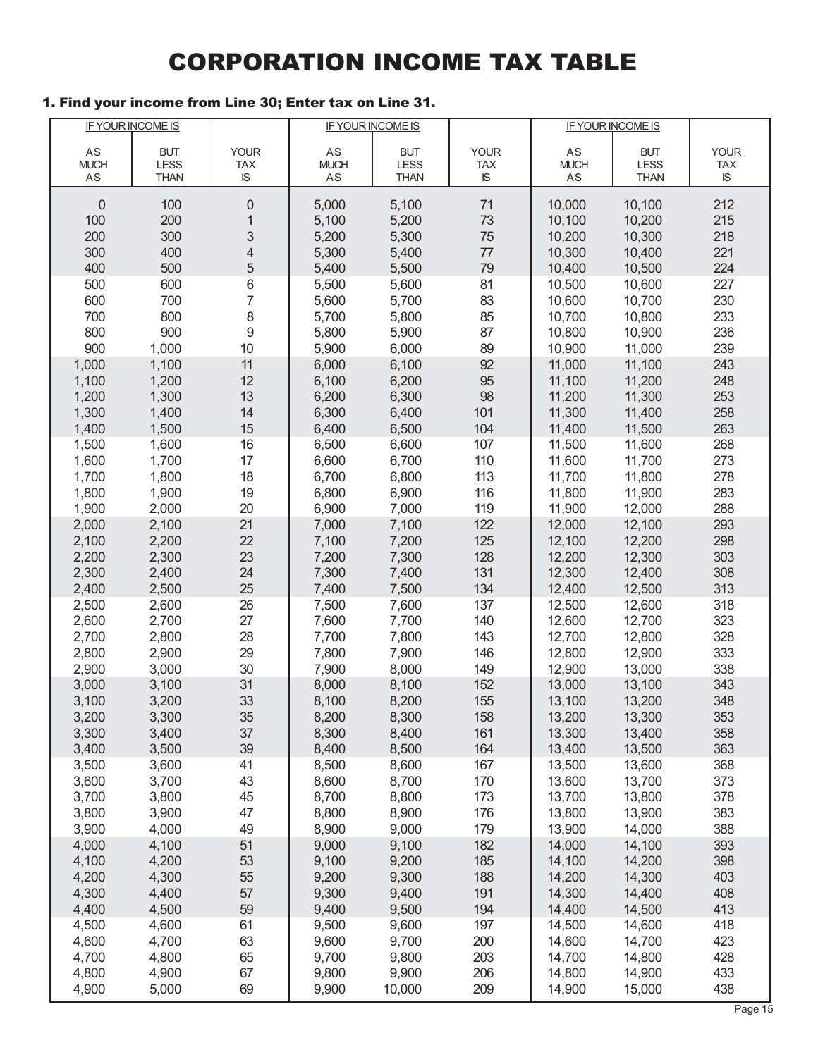## CORPORATION INCOME TAX TABLE

### 1. Find your income from Line 30; Enter tax on Line 31.

| <b>IF YOUR INCOME IS</b> |                | <b>IF YOUR INCOME IS</b> |                | <b>IF YOUR INCOME IS</b> |             |                  |                  |             |
|--------------------------|----------------|--------------------------|----------------|--------------------------|-------------|------------------|------------------|-------------|
| $\mathsf{AS}$            | <b>BUT</b>     | <b>YOUR</b>              | AS             | <b>BUT</b>               | <b>YOUR</b> | AS               | <b>BUT</b>       | <b>YOUR</b> |
| <b>MUCH</b>              | LESS           | <b>TAX</b>               | <b>MUCH</b>    | <b>LESS</b>              | <b>TAX</b>  | <b>MUCH</b>      | LESS             | <b>TAX</b>  |
| $\mathsf{AS}$            | <b>THAN</b>    | IS                       | $\mathsf{AS}$  | <b>THAN</b>              | IS          | $\mathsf{AS}$    | <b>THAN</b>      | IS          |
| $\mathbf 0$              | 100            | 0                        | 5,000          | 5,100                    | 71          | 10,000           | 10,100           | 212         |
| 100                      | 200            | 1                        | 5,100          | 5,200                    | 73          | 10,100           | 10,200           | 215         |
| 200                      | 300            | 3                        | 5,200          | 5,300                    | 75          | 10,200           | 10,300           | 218         |
| 300                      | 400            | $\overline{4}$           | 5,300          | 5,400                    | 77          | 10,300           | 10,400           | 221         |
| 400                      | 500            | 5                        | 5,400          | 5,500                    | 79          | 10,400           | 10,500           | 224         |
| 500                      | 600            | 6                        | 5,500          | 5,600                    | 81          | 10,500           | 10,600           | 227         |
| 600                      | 700            | 7                        | 5,600          | 5,700                    | 83          | 10,600           | 10,700           | 230         |
| 700                      | 800            | 8                        | 5,700          | 5,800                    | 85          | 10,700           | 10,800           | 233         |
| 800                      | 900            | 9                        | 5,800          | 5,900                    | 87          | 10,800           | 10,900           | 236         |
| 900                      | 1,000          | 10                       | 5,900          | 6,000                    | 89          | 10,900           | 11,000           | 239         |
| 1,000                    | 1,100          | 11                       | 6,000          | 6,100                    | 92          | 11,000           | 11,100           | 243         |
| 1,100                    | 1,200          | 12                       | 6,100          | 6,200                    | 95          | 11,100           | 11,200           | 248         |
| 1,200                    | 1,300          | 13                       | 6,200          | 6,300                    | 98          | 11,200           | 11,300           | 253         |
| 1,300                    | 1,400          | 14                       | 6,300          | 6,400                    | 101         | 11,300           | 11,400           | 258         |
| 1,400                    | 1,500          | 15                       | 6,400          | 6,500                    | 104         | 11,400           | 11,500           | 263         |
| 1,500                    | 1,600          | 16                       | 6,500          | 6,600                    | 107         | 11,500           | 11,600           | 268         |
| 1,600                    | 1,700          | 17                       | 6,600          | 6,700                    | 110         | 11,600           | 11,700           | 273         |
| 1,700                    | 1,800          | 18                       | 6,700          | 6,800                    | 113<br>116  | 11,700           | 11,800           | 278<br>283  |
| 1,800<br>1,900           | 1,900<br>2,000 | 19<br>20                 | 6,800<br>6,900 | 6,900<br>7,000           | 119         | 11,800<br>11,900 | 11,900<br>12,000 | 288         |
| 2,000                    | 2,100          | 21                       | 7,000          | 7,100                    | 122         | 12,000           | 12,100           | 293         |
| 2,100                    | 2,200          | 22                       | 7,100          | 7,200                    | 125         | 12,100           | 12,200           | 298         |
| 2,200                    | 2,300          | 23                       | 7,200          | 7,300                    | 128         | 12,200           | 12,300           | 303         |
| 2,300                    | 2,400          | 24                       | 7,300          | 7,400                    | 131         | 12,300           | 12,400           | 308         |
| 2,400                    | 2,500          | 25                       | 7,400          | 7,500                    | 134         | 12,400           | 12,500           | 313         |
| 2,500                    | 2,600          | 26                       | 7,500          | 7,600                    | 137         | 12,500           | 12,600           | 318         |
| 2,600                    | 2,700          | 27                       | 7,600          | 7,700                    | 140         | 12,600           | 12,700           | 323         |
| 2,700                    | 2,800          | 28                       | 7,700          | 7,800                    | 143         | 12,700           | 12,800           | 328         |
| 2,800                    | 2,900          | 29                       | 7,800          | 7,900                    | 146         | 12,800           | 12,900           | 333         |
| 2,900                    | 3,000          | 30                       | 7,900          | 8,000                    | 149         | 12,900           | 13,000           | 338         |
| 3,000                    | 3,100          | 31                       | 8,000          | 8,100                    | 152         | 13,000           | 13,100           | 343         |
| 3,100                    | 3,200          | 33                       | 8,100          | 8,200                    | 155         | 13,100           | 13,200           | 348         |
| 3,200                    | 3,300          | 35                       | 8,200          | 8,300                    | 158         | 13,200           | 13,300           | 353         |
| 3,300<br>3,400           | 3,400<br>3,500 | 37<br>39                 | 8,300<br>8,400 | 8,400<br>8,500           | 161<br>164  | 13,300<br>13,400 | 13,400<br>13,500 | 358<br>363  |
| 3,500                    | 3,600          | 41                       | 8,500          | 8,600                    | 167         | 13,500           | 13,600           | 368         |
| 3,600                    | 3,700          | 43                       | 8,600          | 8,700                    | 170         | 13,600           | 13,700           | 373         |
| 3,700                    | 3,800          | 45                       | 8,700          | 8,800                    | 173         | 13,700           | 13,800           | 378         |
| 3,800                    | 3,900          | 47                       | 8,800          | 8,900                    | 176         | 13,800           | 13,900           | 383         |
| 3,900                    | 4,000          | 49                       | 8,900          | 9,000                    | 179         | 13,900           | 14,000           | 388         |
| 4,000                    | 4,100          | 51                       | 9,000          | 9,100                    | 182         | 14,000           | 14,100           | 393         |
| 4,100                    | 4,200          | 53                       | 9,100          | 9,200                    | 185         | 14,100           | 14,200           | 398         |
| 4,200                    | 4,300          | 55                       | 9,200          | 9,300                    | 188         | 14,200           | 14,300           | 403         |
| 4,300                    | 4,400          | 57                       | 9,300          | 9,400                    | 191         | 14,300           | 14,400           | 408         |
| 4,400                    | 4,500          | 59                       | 9,400          | 9,500                    | 194         | 14,400           | 14,500           | 413         |
| 4,500                    | 4,600          | 61                       | 9,500          | 9,600                    | 197         | 14,500           | 14,600           | 418         |
| 4,600                    | 4,700          | 63                       | 9,600          | 9,700                    | 200         | 14,600           | 14,700           | 423         |
| 4,700                    | 4,800          | 65                       | 9,700          | 9,800                    | 203         | 14,700           | 14,800           | 428         |
| 4,800                    | 4,900          | 67                       | 9,800          | 9,900                    | 206         | 14,800           | 14,900           | 433         |
| 4,900                    | 5,000          | 69                       | 9,900          | 10,000                   | 209         | 14,900           | 15,000           | 438         |